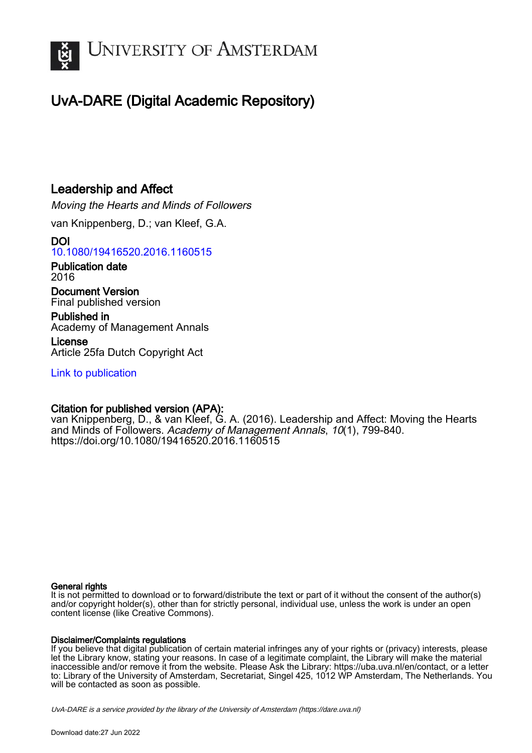

# UvA-DARE (Digital Academic Repository)

# Leadership and Affect

Moving the Hearts and Minds of Followers

van Knippenberg, D.; van Kleef, G.A.

DOI [10.1080/19416520.2016.1160515](https://doi.org/10.1080/19416520.2016.1160515)

Publication date 2016

Document Version Final published version

Published in Academy of Management Annals

License Article 25fa Dutch Copyright Act

[Link to publication](https://dare.uva.nl/personal/pure/en/publications/leadership-and-affect(95c8e5a6-552b-4a1d-be52-693f7a13884b).html)

# Citation for published version (APA):

van Knippenberg, D., & van Kleef, G. A. (2016). Leadership and Affect: Moving the Hearts and Minds of Followers. Academy of Management Annals, 10(1), 799-840. <https://doi.org/10.1080/19416520.2016.1160515>

## General rights

It is not permitted to download or to forward/distribute the text or part of it without the consent of the author(s) and/or copyright holder(s), other than for strictly personal, individual use, unless the work is under an open content license (like Creative Commons).

## Disclaimer/Complaints regulations

If you believe that digital publication of certain material infringes any of your rights or (privacy) interests, please let the Library know, stating your reasons. In case of a legitimate complaint, the Library will make the material inaccessible and/or remove it from the website. Please Ask the Library: https://uba.uva.nl/en/contact, or a letter to: Library of the University of Amsterdam, Secretariat, Singel 425, 1012 WP Amsterdam, The Netherlands. You will be contacted as soon as possible.

UvA-DARE is a service provided by the library of the University of Amsterdam (http*s*://dare.uva.nl)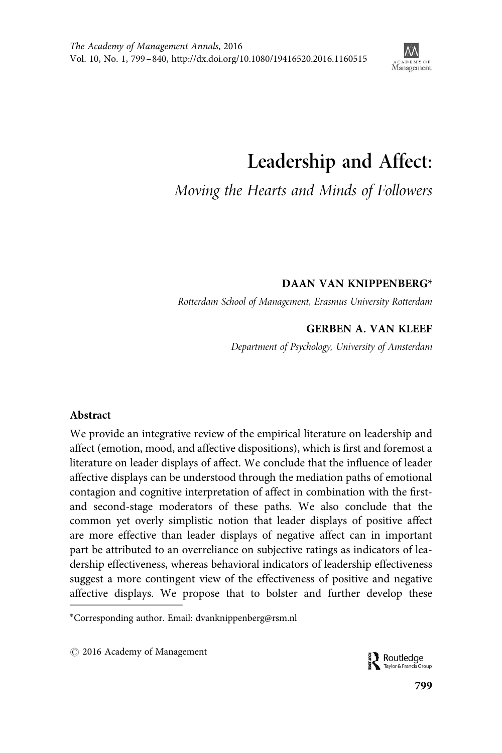

# Leadership and Affect:

Moving the Hearts and Minds of Followers

DAAN VAN KNIPPENBERG\*

Rotterdam School of Management, Erasmus University Rotterdam

GERBEN A. VAN KLEEF

Department of Psychology, University of Amsterdam

### Abstract

We provide an integrative review of the empirical literature on leadership and affect (emotion, mood, and affective dispositions), which is first and foremost a literature on leader displays of affect. We conclude that the influence of leader affective displays can be understood through the mediation paths of emotional contagion and cognitive interpretation of affect in combination with the firstand second-stage moderators of these paths. We also conclude that the common yet overly simplistic notion that leader displays of positive affect are more effective than leader displays of negative affect can in important part be attributed to an overreliance on subjective ratings as indicators of leadership effectiveness, whereas behavioral indicators of leadership effectiveness suggest a more contingent view of the effectiveness of positive and negative affective displays. We propose that to bolster and further develop these

 $\odot$  2016 Academy of Management



<sup>∗</sup>Corresponding author. Email: [dvanknippenberg@rsm.nl](mailto:dvanknippenberg@rsm.nl)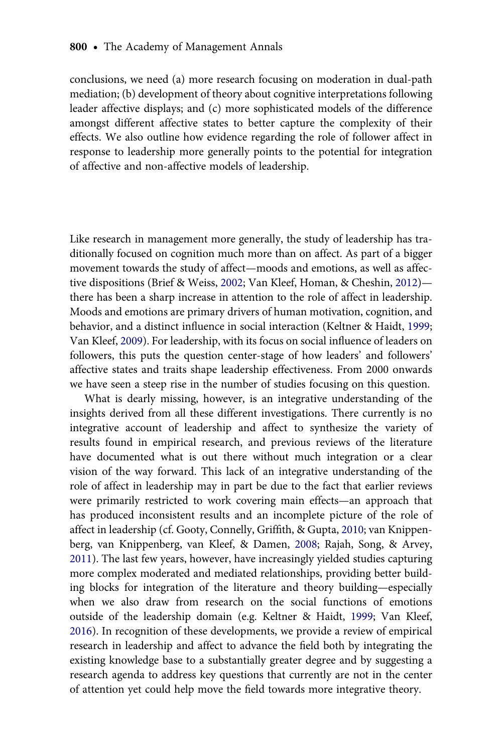<span id="page-2-0"></span>conclusions, we need (a) more research focusing on moderation in dual-path mediation; (b) development of theory about cognitive interpretations following leader affective displays; and (c) more sophisticated models of the difference amongst different affective states to better capture the complexity of their effects. We also outline how evidence regarding the role of follower affect in response to leadership more generally points to the potential for integration of affective and non-affective models of leadership.

Like research in management more generally, the study of leadership has traditionally focused on cognition much more than on affect. As part of a bigger movement towards the study of affect—moods and emotions, as well as affective dispositions (Brief & Weiss, [2002](#page-36-0); Van Kleef, Homan, & Cheshin, [2012](#page-42-0)) there has been a sharp increase in attention to the role of affect in leadership. Moods and emotions are primary drivers of human motivation, cognition, and behavior, and a distinct influence in social interaction (Keltner & Haidt, [1999;](#page-38-0) Van Kleef, [2009\)](#page-41-0). For leadership, with its focus on social influence of leaders on followers, this puts the question center-stage of how leaders' and followers' affective states and traits shape leadership effectiveness. From 2000 onwards we have seen a steep rise in the number of studies focusing on this question.

What is dearly missing, however, is an integrative understanding of the insights derived from all these different investigations. There currently is no integrative account of leadership and affect to synthesize the variety of results found in empirical research, and previous reviews of the literature have documented what is out there without much integration or a clear vision of the way forward. This lack of an integrative understanding of the role of affect in leadership may in part be due to the fact that earlier reviews were primarily restricted to work covering main effects—an approach that has produced inconsistent results and an incomplete picture of the role of affect in leadership (cf. Gooty, Connelly, Griffith, & Gupta, [2010;](#page-38-0) van Knippenberg, van Knippenberg, van Kleef, & Damen, [2008;](#page-39-0) Rajah, Song, & Arvey, [2011](#page-40-0)). The last few years, however, have increasingly yielded studies capturing more complex moderated and mediated relationships, providing better building blocks for integration of the literature and theory building—especially when we also draw from research on the social functions of emotions outside of the leadership domain (e.g. Keltner & Haidt, [1999;](#page-38-0) Van Kleef, [2016](#page-41-0)). In recognition of these developments, we provide a review of empirical research in leadership and affect to advance the field both by integrating the existing knowledge base to a substantially greater degree and by suggesting a research agenda to address key questions that currently are not in the center of attention yet could help move the field towards more integrative theory.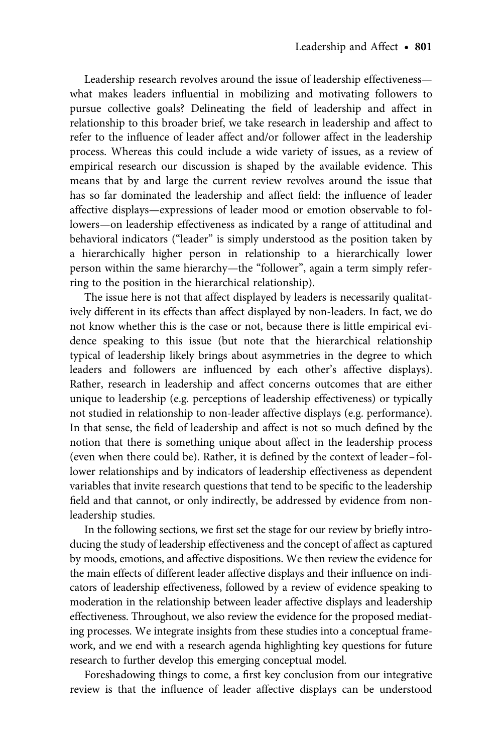Leadership research revolves around the issue of leadership effectiveness what makes leaders influential in mobilizing and motivating followers to pursue collective goals? Delineating the field of leadership and affect in relationship to this broader brief, we take research in leadership and affect to refer to the influence of leader affect and/or follower affect in the leadership process. Whereas this could include a wide variety of issues, as a review of empirical research our discussion is shaped by the available evidence. This means that by and large the current review revolves around the issue that has so far dominated the leadership and affect field: the influence of leader affective displays—expressions of leader mood or emotion observable to followers—on leadership effectiveness as indicated by a range of attitudinal and behavioral indicators ("leader" is simply understood as the position taken by a hierarchically higher person in relationship to a hierarchically lower person within the same hierarchy—the "follower", again a term simply referring to the position in the hierarchical relationship).

The issue here is not that affect displayed by leaders is necessarily qualitatively different in its effects than affect displayed by non-leaders. In fact, we do not know whether this is the case or not, because there is little empirical evidence speaking to this issue (but note that the hierarchical relationship typical of leadership likely brings about asymmetries in the degree to which leaders and followers are influenced by each other's affective displays). Rather, research in leadership and affect concerns outcomes that are either unique to leadership (e.g. perceptions of leadership effectiveness) or typically not studied in relationship to non-leader affective displays (e.g. performance). In that sense, the field of leadership and affect is not so much defined by the notion that there is something unique about affect in the leadership process (even when there could be). Rather, it is defined by the context of leader –follower relationships and by indicators of leadership effectiveness as dependent variables that invite research questions that tend to be specific to the leadership field and that cannot, or only indirectly, be addressed by evidence from nonleadership studies.

In the following sections, we first set the stage for our review by briefly introducing the study of leadership effectiveness and the concept of affect as captured by moods, emotions, and affective dispositions. We then review the evidence for the main effects of different leader affective displays and their influence on indicators of leadership effectiveness, followed by a review of evidence speaking to moderation in the relationship between leader affective displays and leadership effectiveness. Throughout, we also review the evidence for the proposed mediating processes. We integrate insights from these studies into a conceptual framework, and we end with a research agenda highlighting key questions for future research to further develop this emerging conceptual model.

Foreshadowing things to come, a first key conclusion from our integrative review is that the influence of leader affective displays can be understood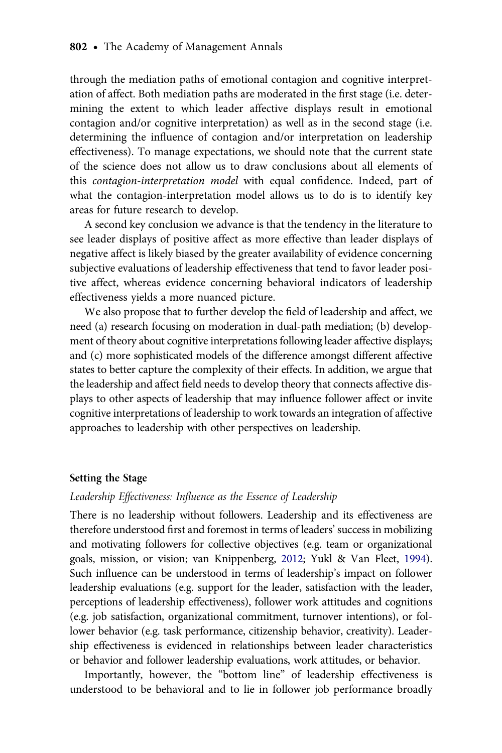<span id="page-4-0"></span>through the mediation paths of emotional contagion and cognitive interpretation of affect. Both mediation paths are moderated in the first stage (i.e. determining the extent to which leader affective displays result in emotional contagion and/or cognitive interpretation) as well as in the second stage (i.e. determining the influence of contagion and/or interpretation on leadership effectiveness). To manage expectations, we should note that the current state of the science does not allow us to draw conclusions about all elements of this contagion-interpretation model with equal confidence. Indeed, part of what the contagion-interpretation model allows us to do is to identify key areas for future research to develop.

A second key conclusion we advance is that the tendency in the literature to see leader displays of positive affect as more effective than leader displays of negative affect is likely biased by the greater availability of evidence concerning subjective evaluations of leadership effectiveness that tend to favor leader positive affect, whereas evidence concerning behavioral indicators of leadership effectiveness yields a more nuanced picture.

We also propose that to further develop the field of leadership and affect, we need (a) research focusing on moderation in dual-path mediation; (b) development of theory about cognitive interpretations following leader affective displays; and (c) more sophisticated models of the difference amongst different affective states to better capture the complexity of their effects. In addition, we argue that the leadership and affect field needs to develop theory that connects affective displays to other aspects of leadership that may influence follower affect or invite cognitive interpretations of leadership to work towards an integration of affective approaches to leadership with other perspectives on leadership.

#### Setting the Stage

#### Leadership Effectiveness: Influence as the Essence of Leadership

There is no leadership without followers. Leadership and its effectiveness are therefore understood first and foremost in terms of leaders' success in mobilizing and motivating followers for collective objectives (e.g. team or organizational goals, mission, or vision; van Knippenberg, [2012;](#page-39-0) Yukl & Van Fleet, [1994](#page-42-0)). Such influence can be understood in terms of leadership's impact on follower leadership evaluations (e.g. support for the leader, satisfaction with the leader, perceptions of leadership effectiveness), follower work attitudes and cognitions (e.g. job satisfaction, organizational commitment, turnover intentions), or follower behavior (e.g. task performance, citizenship behavior, creativity). Leadership effectiveness is evidenced in relationships between leader characteristics or behavior and follower leadership evaluations, work attitudes, or behavior.

Importantly, however, the "bottom line" of leadership effectiveness is understood to be behavioral and to lie in follower job performance broadly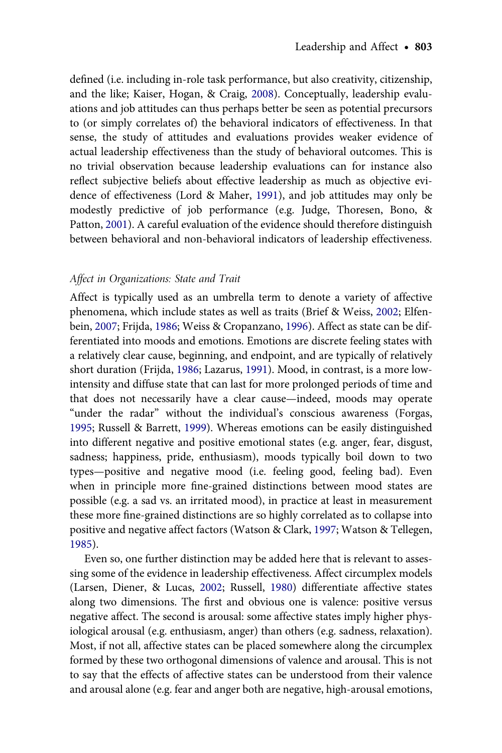<span id="page-5-0"></span>defined (i.e. including in-role task performance, but also creativity, citizenship, and the like; Kaiser, Hogan, & Craig, [2008\)](#page-38-0). Conceptually, leadership evaluations and job attitudes can thus perhaps better be seen as potential precursors to (or simply correlates of) the behavioral indicators of effectiveness. In that sense, the study of attitudes and evaluations provides weaker evidence of actual leadership effectiveness than the study of behavioral outcomes. This is no trivial observation because leadership evaluations can for instance also reflect subjective beliefs about effective leadership as much as objective evidence of effectiveness (Lord & Maher, [1991](#page-39-0)), and job attitudes may only be modestly predictive of job performance (e.g. Judge, Thoresen, Bono, & Patton, [2001\)](#page-38-0). A careful evaluation of the evidence should therefore distinguish between behavioral and non-behavioral indicators of leadership effectiveness.

#### Affect in Organizations: State and Trait

Affect is typically used as an umbrella term to denote a variety of affective phenomena, which include states as well as traits (Brief & Weiss, [2002;](#page-36-0) Elfenbein, [2007;](#page-37-0) Frijda, [1986](#page-38-0); Weiss & Cropanzano, [1996](#page-42-0)). Affect as state can be differentiated into moods and emotions. Emotions are discrete feeling states with a relatively clear cause, beginning, and endpoint, and are typically of relatively short duration (Frijda, [1986](#page-38-0); Lazarus, [1991](#page-39-0)). Mood, in contrast, is a more lowintensity and diffuse state that can last for more prolonged periods of time and that does not necessarily have a clear cause—indeed, moods may operate "under the radar" without the individual's conscious awareness (Forgas, [1995](#page-37-0); Russell & Barrett, [1999\)](#page-40-0). Whereas emotions can be easily distinguished into different negative and positive emotional states (e.g. anger, fear, disgust, sadness; happiness, pride, enthusiasm), moods typically boil down to two types—positive and negative mood (i.e. feeling good, feeling bad). Even when in principle more fine-grained distinctions between mood states are possible (e.g. a sad vs. an irritated mood), in practice at least in measurement these more fine-grained distinctions are so highly correlated as to collapse into positive and negative affect factors (Watson & Clark, [1997](#page-42-0); Watson & Tellegen, [1985](#page-42-0)).

Even so, one further distinction may be added here that is relevant to assessing some of the evidence in leadership effectiveness. Affect circumplex models (Larsen, Diener, & Lucas, [2002](#page-39-0); Russell, [1980\)](#page-40-0) differentiate affective states along two dimensions. The first and obvious one is valence: positive versus negative affect. The second is arousal: some affective states imply higher physiological arousal (e.g. enthusiasm, anger) than others (e.g. sadness, relaxation). Most, if not all, affective states can be placed somewhere along the circumplex formed by these two orthogonal dimensions of valence and arousal. This is not to say that the effects of affective states can be understood from their valence and arousal alone (e.g. fear and anger both are negative, high-arousal emotions,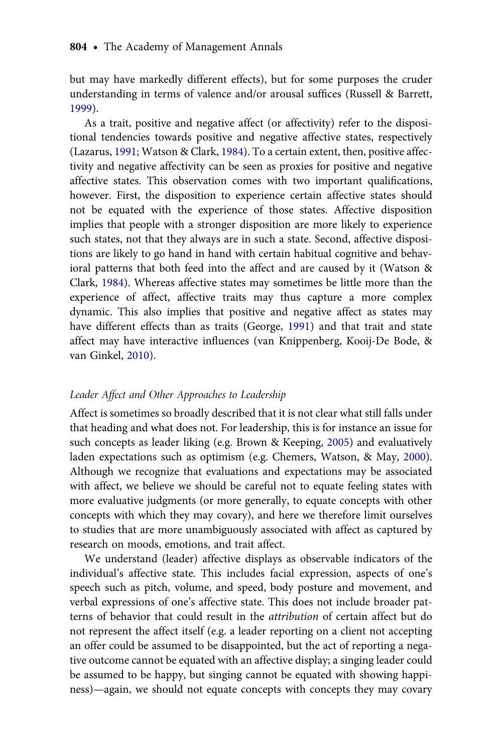<span id="page-6-0"></span>but may have markedly different effects), but for some purposes the cruder understanding in terms of valence and/or arousal suffices (Russell & Barrett, [1999](#page-40-0)).

As a trait, positive and negative affect (or affectivity) refer to the dispositional tendencies towards positive and negative affective states, respectively (Lazarus, [1991;](#page-39-0) Watson & Clark, [1984](#page-42-0)). To a certain extent, then, positive affectivity and negative affectivity can be seen as proxies for positive and negative affective states. This observation comes with two important qualifications, however. First, the disposition to experience certain affective states should not be equated with the experience of those states. Affective disposition implies that people with a stronger disposition are more likely to experience such states, not that they always are in such a state. Second, affective dispositions are likely to go hand in hand with certain habitual cognitive and behavioral patterns that both feed into the affect and are caused by it (Watson & Clark, [1984\)](#page-42-0). Whereas affective states may sometimes be little more than the experience of affect, affective traits may thus capture a more complex dynamic. This also implies that positive and negative affect as states may have different effects than as traits (George, [1991\)](#page-38-0) and that trait and state affect may have interactive influences (van Knippenberg, Kooij-De Bode, & van Ginkel, [2010](#page-39-0)).

#### Leader Affect and Other Approaches to Leadership

Affect is sometimes so broadly described that it is not clear what still falls under that heading and what does not. For leadership, this is for instance an issue for such concepts as leader liking (e.g. Brown & Keeping, [2005\)](#page-36-0) and evaluatively laden expectations such as optimism (e.g. Chemers, Watson, & May, [2000](#page-36-0)). Although we recognize that evaluations and expectations may be associated with affect, we believe we should be careful not to equate feeling states with more evaluative judgments (or more generally, to equate concepts with other concepts with which they may covary), and here we therefore limit ourselves to studies that are more unambiguously associated with affect as captured by research on moods, emotions, and trait affect.

We understand (leader) affective displays as observable indicators of the individual's affective state. This includes facial expression, aspects of one's speech such as pitch, volume, and speed, body posture and movement, and verbal expressions of one's affective state. This does not include broader patterns of behavior that could result in the attribution of certain affect but do not represent the affect itself (e.g. a leader reporting on a client not accepting an offer could be assumed to be disappointed, but the act of reporting a negative outcome cannot be equated with an affective display; a singing leader could be assumed to be happy, but singing cannot be equated with showing happiness)—again, we should not equate concepts with concepts they may covary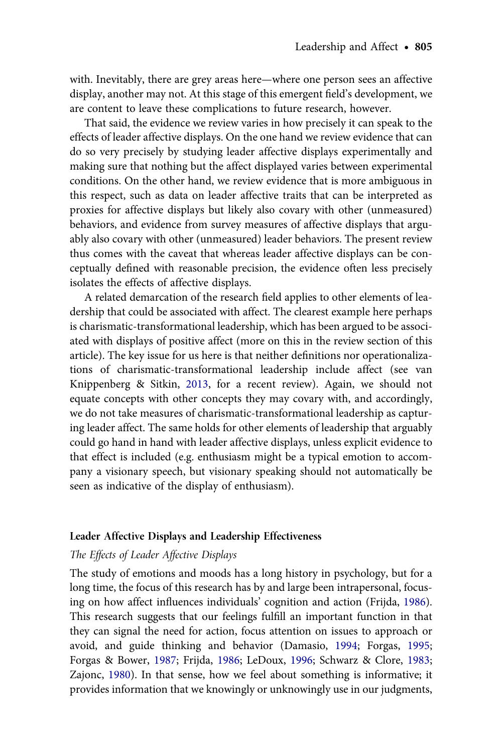<span id="page-7-0"></span>with. Inevitably, there are grey areas here—where one person sees an affective display, another may not. At this stage of this emergent field's development, we are content to leave these complications to future research, however.

That said, the evidence we review varies in how precisely it can speak to the effects of leader affective displays. On the one hand we review evidence that can do so very precisely by studying leader affective displays experimentally and making sure that nothing but the affect displayed varies between experimental conditions. On the other hand, we review evidence that is more ambiguous in this respect, such as data on leader affective traits that can be interpreted as proxies for affective displays but likely also covary with other (unmeasured) behaviors, and evidence from survey measures of affective displays that arguably also covary with other (unmeasured) leader behaviors. The present review thus comes with the caveat that whereas leader affective displays can be conceptually defined with reasonable precision, the evidence often less precisely isolates the effects of affective displays.

A related demarcation of the research field applies to other elements of leadership that could be associated with affect. The clearest example here perhaps is charismatic-transformational leadership, which has been argued to be associated with displays of positive affect (more on this in the review section of this article). The key issue for us here is that neither definitions nor operationalizations of charismatic-transformational leadership include affect (see van Knippenberg & Sitkin, [2013](#page-39-0), for a recent review). Again, we should not equate concepts with other concepts they may covary with, and accordingly, we do not take measures of charismatic-transformational leadership as capturing leader affect. The same holds for other elements of leadership that arguably could go hand in hand with leader affective displays, unless explicit evidence to that effect is included (e.g. enthusiasm might be a typical emotion to accompany a visionary speech, but visionary speaking should not automatically be seen as indicative of the display of enthusiasm).

#### Leader Affective Displays and Leadership Effectiveness

# The Effects of Leader Affective Displays

The study of emotions and moods has a long history in psychology, but for a long time, the focus of this research has by and large been intrapersonal, focusing on how affect influences individuals' cognition and action (Frijda, [1986](#page-38-0)). This research suggests that our feelings fulfill an important function in that they can signal the need for action, focus attention on issues to approach or avoid, and guide thinking and behavior (Damasio, [1994;](#page-37-0) Forgas, [1995;](#page-37-0) Forgas & Bower, [1987;](#page-37-0) Frijda, [1986](#page-38-0); LeDoux, [1996](#page-39-0); Schwarz & Clore, [1983;](#page-41-0) Zajonc, [1980](#page-42-0)). In that sense, how we feel about something is informative; it provides information that we knowingly or unknowingly use in our judgments,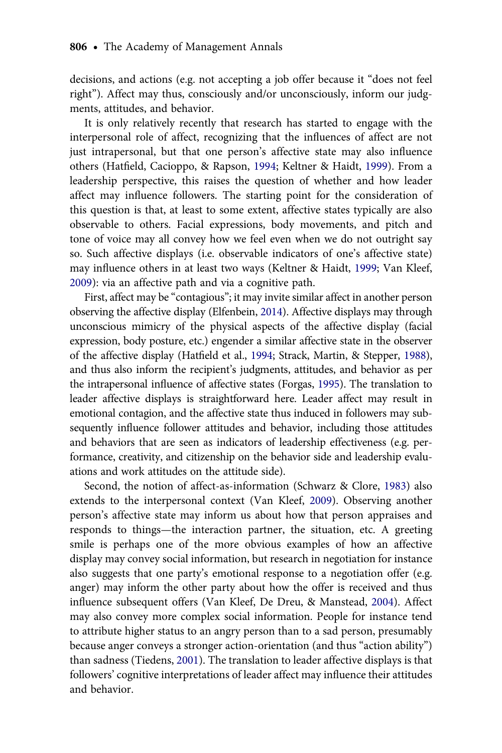<span id="page-8-0"></span>decisions, and actions (e.g. not accepting a job offer because it "does not feel right"). Affect may thus, consciously and/or unconsciously, inform our judgments, attitudes, and behavior.

It is only relatively recently that research has started to engage with the interpersonal role of affect, recognizing that the influences of affect are not just intrapersonal, but that one person's affective state may also influence others (Hatfield, Cacioppo, & Rapson, [1994](#page-38-0); Keltner & Haidt, [1999\)](#page-38-0). From a leadership perspective, this raises the question of whether and how leader affect may influence followers. The starting point for the consideration of this question is that, at least to some extent, affective states typically are also observable to others. Facial expressions, body movements, and pitch and tone of voice may all convey how we feel even when we do not outright say so. Such affective displays (i.e. observable indicators of one's affective state) may influence others in at least two ways (Keltner & Haidt, [1999](#page-38-0); Van Kleef, [2009](#page-41-0)): via an affective path and via a cognitive path.

First, affect may be "contagious"; it may invite similar affect in another person observing the affective display (Elfenbein, [2014\)](#page-37-0). Affective displays may through unconscious mimicry of the physical aspects of the affective display (facial expression, body posture, etc.) engender a similar affective state in the observer of the affective display (Hatfield et al., [1994](#page-38-0); Strack, Martin, & Stepper, [1988](#page-41-0)), and thus also inform the recipient's judgments, attitudes, and behavior as per the intrapersonal influence of affective states (Forgas, [1995](#page-37-0)). The translation to leader affective displays is straightforward here. Leader affect may result in emotional contagion, and the affective state thus induced in followers may subsequently influence follower attitudes and behavior, including those attitudes and behaviors that are seen as indicators of leadership effectiveness (e.g. performance, creativity, and citizenship on the behavior side and leadership evaluations and work attitudes on the attitude side).

Second, the notion of affect-as-information (Schwarz & Clore, [1983\)](#page-41-0) also extends to the interpersonal context (Van Kleef, [2009\)](#page-41-0). Observing another person's affective state may inform us about how that person appraises and responds to things—the interaction partner, the situation, etc. A greeting smile is perhaps one of the more obvious examples of how an affective display may convey social information, but research in negotiation for instance also suggests that one party's emotional response to a negotiation offer (e.g. anger) may inform the other party about how the offer is received and thus influence subsequent offers (Van Kleef, De Dreu, & Manstead, [2004\)](#page-41-0). Affect may also convey more complex social information. People for instance tend to attribute higher status to an angry person than to a sad person, presumably because anger conveys a stronger action-orientation (and thus "action ability") than sadness (Tiedens, [2001](#page-41-0)). The translation to leader affective displays is that followers' cognitive interpretations of leader affect may influence their attitudes and behavior.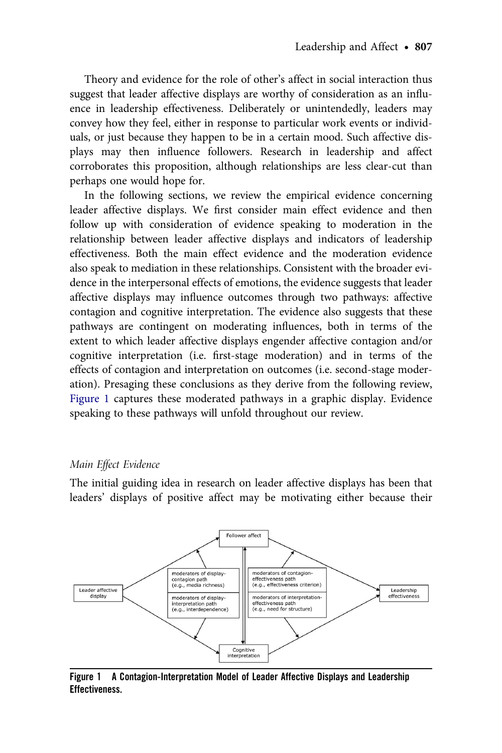<span id="page-9-0"></span>Theory and evidence for the role of other's affect in social interaction thus suggest that leader affective displays are worthy of consideration as an influence in leadership effectiveness. Deliberately or unintendedly, leaders may convey how they feel, either in response to particular work events or individuals, or just because they happen to be in a certain mood. Such affective displays may then influence followers. Research in leadership and affect corroborates this proposition, although relationships are less clear-cut than perhaps one would hope for.

In the following sections, we review the empirical evidence concerning leader affective displays. We first consider main effect evidence and then follow up with consideration of evidence speaking to moderation in the relationship between leader affective displays and indicators of leadership effectiveness. Both the main effect evidence and the moderation evidence also speak to mediation in these relationships. Consistent with the broader evidence in the interpersonal effects of emotions, the evidence suggests that leader affective displays may influence outcomes through two pathways: affective contagion and cognitive interpretation. The evidence also suggests that these pathways are contingent on moderating influences, both in terms of the extent to which leader affective displays engender affective contagion and/or cognitive interpretation (i.e. first-stage moderation) and in terms of the effects of contagion and interpretation on outcomes (i.e. second-stage moderation). Presaging these conclusions as they derive from the following review, Figure 1 captures these moderated pathways in a graphic display. Evidence speaking to these pathways will unfold throughout our review.

### Main Effect Evidence

The initial guiding idea in research on leader affective displays has been that leaders' displays of positive affect may be motivating either because their



Figure 1 A Contagion-Interpretation Model of Leader Affective Displays and Leadership Effectiveness.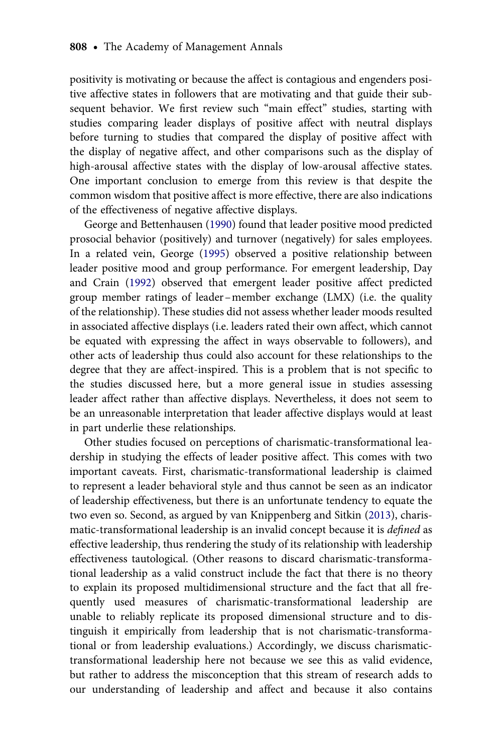<span id="page-10-0"></span>positivity is motivating or because the affect is contagious and engenders positive affective states in followers that are motivating and that guide their subsequent behavior. We first review such "main effect" studies, starting with studies comparing leader displays of positive affect with neutral displays before turning to studies that compared the display of positive affect with the display of negative affect, and other comparisons such as the display of high-arousal affective states with the display of low-arousal affective states. One important conclusion to emerge from this review is that despite the common wisdom that positive affect is more effective, there are also indications of the effectiveness of negative affective displays.

George and Bettenhausen [\(1990\)](#page-38-0) found that leader positive mood predicted prosocial behavior (positively) and turnover (negatively) for sales employees. In a related vein, George ([1995](#page-38-0)) observed a positive relationship between leader positive mood and group performance. For emergent leadership, Day and Crain [\(1992](#page-37-0)) observed that emergent leader positive affect predicted group member ratings of leader –member exchange (LMX) (i.e. the quality of the relationship). These studies did not assess whether leader moods resulted in associated affective displays (i.e. leaders rated their own affect, which cannot be equated with expressing the affect in ways observable to followers), and other acts of leadership thus could also account for these relationships to the degree that they are affect-inspired. This is a problem that is not specific to the studies discussed here, but a more general issue in studies assessing leader affect rather than affective displays. Nevertheless, it does not seem to be an unreasonable interpretation that leader affective displays would at least in part underlie these relationships.

Other studies focused on perceptions of charismatic-transformational leadership in studying the effects of leader positive affect. This comes with two important caveats. First, charismatic-transformational leadership is claimed to represent a leader behavioral style and thus cannot be seen as an indicator of leadership effectiveness, but there is an unfortunate tendency to equate the two even so. Second, as argued by van Knippenberg and Sitkin [\(2013](#page-39-0)), charismatic-transformational leadership is an invalid concept because it is defined as effective leadership, thus rendering the study of its relationship with leadership effectiveness tautological. (Other reasons to discard charismatic-transformational leadership as a valid construct include the fact that there is no theory to explain its proposed multidimensional structure and the fact that all frequently used measures of charismatic-transformational leadership are unable to reliably replicate its proposed dimensional structure and to distinguish it empirically from leadership that is not charismatic-transformational or from leadership evaluations.) Accordingly, we discuss charismatictransformational leadership here not because we see this as valid evidence, but rather to address the misconception that this stream of research adds to our understanding of leadership and affect and because it also contains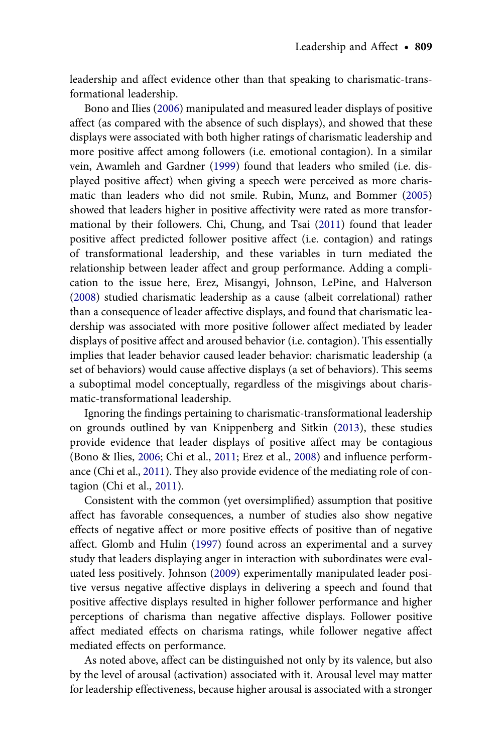<span id="page-11-0"></span>leadership and affect evidence other than that speaking to charismatic-transformational leadership.

Bono and Ilies [\(2006](#page-36-0)) manipulated and measured leader displays of positive affect (as compared with the absence of such displays), and showed that these displays were associated with both higher ratings of charismatic leadership and more positive affect among followers (i.e. emotional contagion). In a similar vein, Awamleh and Gardner ([1999\)](#page-36-0) found that leaders who smiled (i.e. displayed positive affect) when giving a speech were perceived as more charismatic than leaders who did not smile. Rubin, Munz, and Bommer [\(2005\)](#page-40-0) showed that leaders higher in positive affectivity were rated as more transformational by their followers. Chi, Chung, and Tsai [\(2011](#page-36-0)) found that leader positive affect predicted follower positive affect (i.e. contagion) and ratings of transformational leadership, and these variables in turn mediated the relationship between leader affect and group performance. Adding a complication to the issue here, Erez, Misangyi, Johnson, LePine, and Halverson [\(2008\)](#page-37-0) studied charismatic leadership as a cause (albeit correlational) rather than a consequence of leader affective displays, and found that charismatic leadership was associated with more positive follower affect mediated by leader displays of positive affect and aroused behavior (i.e. contagion). This essentially implies that leader behavior caused leader behavior: charismatic leadership (a set of behaviors) would cause affective displays (a set of behaviors). This seems a suboptimal model conceptually, regardless of the misgivings about charismatic-transformational leadership.

Ignoring the findings pertaining to charismatic-transformational leadership on grounds outlined by van Knippenberg and Sitkin [\(2013](#page-39-0)), these studies provide evidence that leader displays of positive affect may be contagious (Bono & Ilies, [2006;](#page-36-0) Chi et al., [2011;](#page-36-0) Erez et al., [2008](#page-37-0)) and influence performance (Chi et al., [2011](#page-36-0)). They also provide evidence of the mediating role of contagion (Chi et al., [2011\)](#page-36-0).

Consistent with the common (yet oversimplified) assumption that positive affect has favorable consequences, a number of studies also show negative effects of negative affect or more positive effects of positive than of negative affect. Glomb and Hulin [\(1997](#page-38-0)) found across an experimental and a survey study that leaders displaying anger in interaction with subordinates were evaluated less positively. Johnson [\(2009](#page-38-0)) experimentally manipulated leader positive versus negative affective displays in delivering a speech and found that positive affective displays resulted in higher follower performance and higher perceptions of charisma than negative affective displays. Follower positive affect mediated effects on charisma ratings, while follower negative affect mediated effects on performance.

As noted above, affect can be distinguished not only by its valence, but also by the level of arousal (activation) associated with it. Arousal level may matter for leadership effectiveness, because higher arousal is associated with a stronger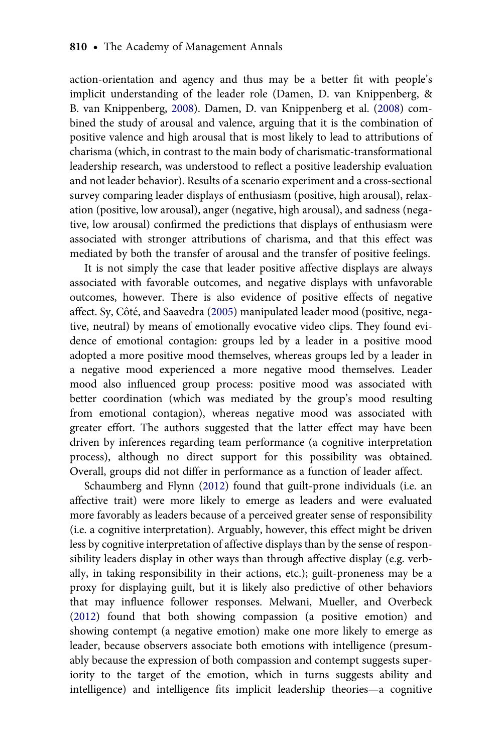<span id="page-12-0"></span>action-orientation and agency and thus may be a better fit with people's implicit understanding of the leader role (Damen, D. van Knippenberg, & B. van Knippenberg, [2008\)](#page-37-0). Damen, D. van Knippenberg et al. ([2008](#page-37-0)) combined the study of arousal and valence, arguing that it is the combination of positive valence and high arousal that is most likely to lead to attributions of charisma (which, in contrast to the main body of charismatic-transformational leadership research, was understood to reflect a positive leadership evaluation and not leader behavior). Results of a scenario experiment and a cross-sectional survey comparing leader displays of enthusiasm (positive, high arousal), relaxation (positive, low arousal), anger (negative, high arousal), and sadness (negative, low arousal) confirmed the predictions that displays of enthusiasm were associated with stronger attributions of charisma, and that this effect was mediated by both the transfer of arousal and the transfer of positive feelings.

It is not simply the case that leader positive affective displays are always associated with favorable outcomes, and negative displays with unfavorable outcomes, however. There is also evidence of positive effects of negative affect. Sy, Côté, and Saavedra ([2005\)](#page-41-0) manipulated leader mood (positive, negative, neutral) by means of emotionally evocative video clips. They found evidence of emotional contagion: groups led by a leader in a positive mood adopted a more positive mood themselves, whereas groups led by a leader in a negative mood experienced a more negative mood themselves. Leader mood also influenced group process: positive mood was associated with better coordination (which was mediated by the group's mood resulting from emotional contagion), whereas negative mood was associated with greater effort. The authors suggested that the latter effect may have been driven by inferences regarding team performance (a cognitive interpretation process), although no direct support for this possibility was obtained. Overall, groups did not differ in performance as a function of leader affect.

Schaumberg and Flynn [\(2012\)](#page-41-0) found that guilt-prone individuals (i.e. an affective trait) were more likely to emerge as leaders and were evaluated more favorably as leaders because of a perceived greater sense of responsibility (i.e. a cognitive interpretation). Arguably, however, this effect might be driven less by cognitive interpretation of affective displays than by the sense of responsibility leaders display in other ways than through affective display (e.g. verbally, in taking responsibility in their actions, etc.); guilt-proneness may be a proxy for displaying guilt, but it is likely also predictive of other behaviors that may influence follower responses. Melwani, Mueller, and Overbeck [\(2012\)](#page-40-0) found that both showing compassion (a positive emotion) and showing contempt (a negative emotion) make one more likely to emerge as leader, because observers associate both emotions with intelligence (presumably because the expression of both compassion and contempt suggests superiority to the target of the emotion, which in turns suggests ability and intelligence) and intelligence fits implicit leadership theories—a cognitive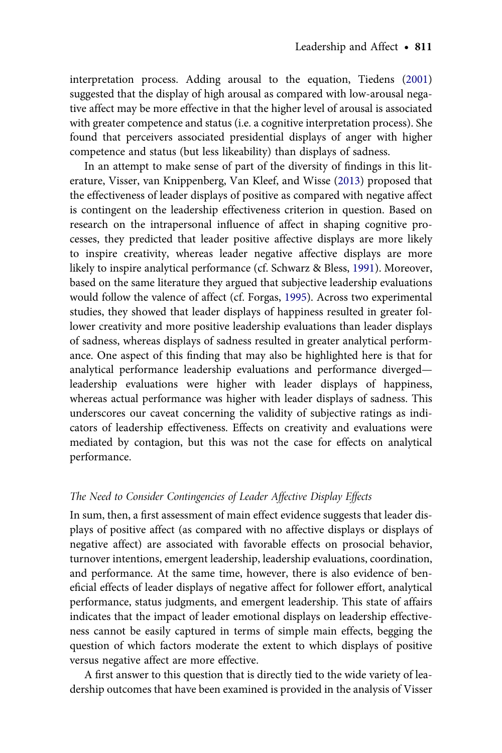<span id="page-13-0"></span>interpretation process. Adding arousal to the equation, Tiedens [\(2001\)](#page-41-0) suggested that the display of high arousal as compared with low-arousal negative affect may be more effective in that the higher level of arousal is associated with greater competence and status (i.e. a cognitive interpretation process). She found that perceivers associated presidential displays of anger with higher competence and status (but less likeability) than displays of sadness.

In an attempt to make sense of part of the diversity of findings in this literature, Visser, van Knippenberg, Van Kleef, and Wisse ([2013\)](#page-42-0) proposed that the effectiveness of leader displays of positive as compared with negative affect is contingent on the leadership effectiveness criterion in question. Based on research on the intrapersonal influence of affect in shaping cognitive processes, they predicted that leader positive affective displays are more likely to inspire creativity, whereas leader negative affective displays are more likely to inspire analytical performance (cf. Schwarz & Bless, [1991\)](#page-41-0). Moreover, based on the same literature they argued that subjective leadership evaluations would follow the valence of affect (cf. Forgas, [1995\)](#page-37-0). Across two experimental studies, they showed that leader displays of happiness resulted in greater follower creativity and more positive leadership evaluations than leader displays of sadness, whereas displays of sadness resulted in greater analytical performance. One aspect of this finding that may also be highlighted here is that for analytical performance leadership evaluations and performance diverged leadership evaluations were higher with leader displays of happiness, whereas actual performance was higher with leader displays of sadness. This underscores our caveat concerning the validity of subjective ratings as indicators of leadership effectiveness. Effects on creativity and evaluations were mediated by contagion, but this was not the case for effects on analytical performance.

#### The Need to Consider Contingencies of Leader Affective Display Effects

In sum, then, a first assessment of main effect evidence suggests that leader displays of positive affect (as compared with no affective displays or displays of negative affect) are associated with favorable effects on prosocial behavior, turnover intentions, emergent leadership, leadership evaluations, coordination, and performance. At the same time, however, there is also evidence of beneficial effects of leader displays of negative affect for follower effort, analytical performance, status judgments, and emergent leadership. This state of affairs indicates that the impact of leader emotional displays on leadership effectiveness cannot be easily captured in terms of simple main effects, begging the question of which factors moderate the extent to which displays of positive versus negative affect are more effective.

A first answer to this question that is directly tied to the wide variety of leadership outcomes that have been examined is provided in the analysis of Visser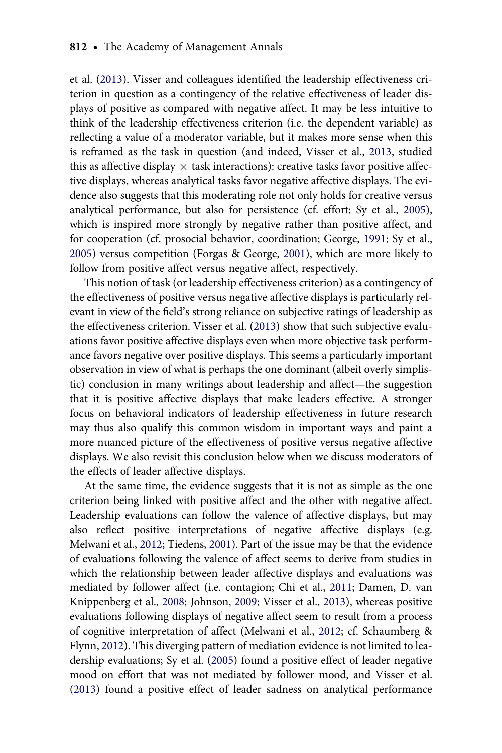<span id="page-14-0"></span>et al. [\(2013](#page-42-0)). Visser and colleagues identified the leadership effectiveness criterion in question as a contingency of the relative effectiveness of leader displays of positive as compared with negative affect. It may be less intuitive to think of the leadership effectiveness criterion (i.e. the dependent variable) as reflecting a value of a moderator variable, but it makes more sense when this is reframed as the task in question (and indeed, Visser et al., [2013,](#page-42-0) studied this as affective display  $\times$  task interactions): creative tasks favor positive affective displays, whereas analytical tasks favor negative affective displays. The evidence also suggests that this moderating role not only holds for creative versus analytical performance, but also for persistence (cf. effort; Sy et al., [2005](#page-41-0)), which is inspired more strongly by negative rather than positive affect, and for cooperation (cf. prosocial behavior, coordination; George, [1991](#page-38-0); Sy et al., [2005](#page-41-0)) versus competition (Forgas & George, [2001\)](#page-38-0), which are more likely to follow from positive affect versus negative affect, respectively.

This notion of task (or leadership effectiveness criterion) as a contingency of the effectiveness of positive versus negative affective displays is particularly relevant in view of the field's strong reliance on subjective ratings of leadership as the effectiveness criterion. Visser et al. [\(2013](#page-42-0)) show that such subjective evaluations favor positive affective displays even when more objective task performance favors negative over positive displays. This seems a particularly important observation in view of what is perhaps the one dominant (albeit overly simplistic) conclusion in many writings about leadership and affect—the suggestion that it is positive affective displays that make leaders effective. A stronger focus on behavioral indicators of leadership effectiveness in future research may thus also qualify this common wisdom in important ways and paint a more nuanced picture of the effectiveness of positive versus negative affective displays. We also revisit this conclusion below when we discuss moderators of the effects of leader affective displays.

At the same time, the evidence suggests that it is not as simple as the one criterion being linked with positive affect and the other with negative affect. Leadership evaluations can follow the valence of affective displays, but may also reflect positive interpretations of negative affective displays (e.g. Melwani et al., [2012;](#page-40-0) Tiedens, [2001](#page-41-0)). Part of the issue may be that the evidence of evaluations following the valence of affect seems to derive from studies in which the relationship between leader affective displays and evaluations was mediated by follower affect (i.e. contagion; Chi et al., [2011](#page-36-0); Damen, D. van Knippenberg et al., [2008;](#page-37-0) Johnson, [2009](#page-38-0); Visser et al., [2013](#page-42-0)), whereas positive evaluations following displays of negative affect seem to result from a process of cognitive interpretation of affect (Melwani et al., [2012](#page-40-0); cf. Schaumberg & Flynn, [2012\)](#page-41-0). This diverging pattern of mediation evidence is not limited to leadership evaluations; Sy et al. ([2005\)](#page-41-0) found a positive effect of leader negative mood on effort that was not mediated by follower mood, and Visser et al. [\(2013\)](#page-42-0) found a positive effect of leader sadness on analytical performance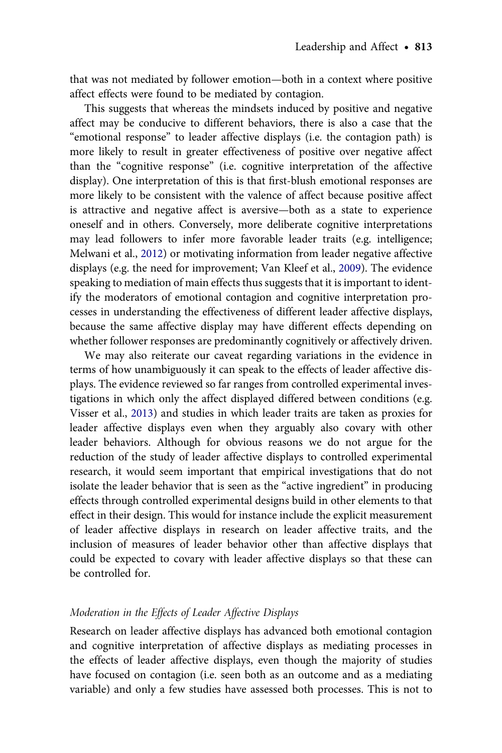<span id="page-15-0"></span>that was not mediated by follower emotion—both in a context where positive affect effects were found to be mediated by contagion.

This suggests that whereas the mindsets induced by positive and negative affect may be conducive to different behaviors, there is also a case that the "emotional response" to leader affective displays (i.e. the contagion path) is more likely to result in greater effectiveness of positive over negative affect than the "cognitive response" (i.e. cognitive interpretation of the affective display). One interpretation of this is that first-blush emotional responses are more likely to be consistent with the valence of affect because positive affect is attractive and negative affect is aversive—both as a state to experience oneself and in others. Conversely, more deliberate cognitive interpretations may lead followers to infer more favorable leader traits (e.g. intelligence; Melwani et al., [2012](#page-40-0)) or motivating information from leader negative affective displays (e.g. the need for improvement; Van Kleef et al., [2009\)](#page-42-0). The evidence speaking to mediation of main effects thus suggests that it is important to identify the moderators of emotional contagion and cognitive interpretation processes in understanding the effectiveness of different leader affective displays, because the same affective display may have different effects depending on whether follower responses are predominantly cognitively or affectively driven.

We may also reiterate our caveat regarding variations in the evidence in terms of how unambiguously it can speak to the effects of leader affective displays. The evidence reviewed so far ranges from controlled experimental investigations in which only the affect displayed differed between conditions (e.g. Visser et al., [2013\)](#page-42-0) and studies in which leader traits are taken as proxies for leader affective displays even when they arguably also covary with other leader behaviors. Although for obvious reasons we do not argue for the reduction of the study of leader affective displays to controlled experimental research, it would seem important that empirical investigations that do not isolate the leader behavior that is seen as the "active ingredient" in producing effects through controlled experimental designs build in other elements to that effect in their design. This would for instance include the explicit measurement of leader affective displays in research on leader affective traits, and the inclusion of measures of leader behavior other than affective displays that could be expected to covary with leader affective displays so that these can be controlled for.

#### Moderation in the Effects of Leader Affective Displays

Research on leader affective displays has advanced both emotional contagion and cognitive interpretation of affective displays as mediating processes in the effects of leader affective displays, even though the majority of studies have focused on contagion (i.e. seen both as an outcome and as a mediating variable) and only a few studies have assessed both processes. This is not to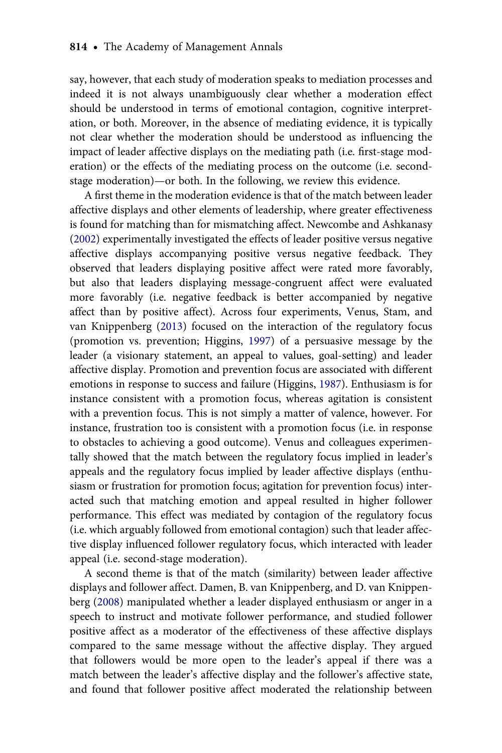<span id="page-16-0"></span>say, however, that each study of moderation speaks to mediation processes and indeed it is not always unambiguously clear whether a moderation effect should be understood in terms of emotional contagion, cognitive interpretation, or both. Moreover, in the absence of mediating evidence, it is typically not clear whether the moderation should be understood as influencing the impact of leader affective displays on the mediating path (i.e. first-stage moderation) or the effects of the mediating process on the outcome (i.e. secondstage moderation)—or both. In the following, we review this evidence.

A first theme in the moderation evidence is that of the match between leader affective displays and other elements of leadership, where greater effectiveness is found for matching than for mismatching affect. Newcombe and Ashkanasy [\(2002\)](#page-40-0) experimentally investigated the effects of leader positive versus negative affective displays accompanying positive versus negative feedback. They observed that leaders displaying positive affect were rated more favorably, but also that leaders displaying message-congruent affect were evaluated more favorably (i.e. negative feedback is better accompanied by negative affect than by positive affect). Across four experiments, Venus, Stam, and van Knippenberg [\(2013](#page-42-0)) focused on the interaction of the regulatory focus (promotion vs. prevention; Higgins, [1997\)](#page-38-0) of a persuasive message by the leader (a visionary statement, an appeal to values, goal-setting) and leader affective display. Promotion and prevention focus are associated with different emotions in response to success and failure (Higgins, [1987\)](#page-38-0). Enthusiasm is for instance consistent with a promotion focus, whereas agitation is consistent with a prevention focus. This is not simply a matter of valence, however. For instance, frustration too is consistent with a promotion focus (i.e. in response to obstacles to achieving a good outcome). Venus and colleagues experimentally showed that the match between the regulatory focus implied in leader's appeals and the regulatory focus implied by leader affective displays (enthusiasm or frustration for promotion focus; agitation for prevention focus) interacted such that matching emotion and appeal resulted in higher follower performance. This effect was mediated by contagion of the regulatory focus (i.e. which arguably followed from emotional contagion) such that leader affective display influenced follower regulatory focus, which interacted with leader appeal (i.e. second-stage moderation).

A second theme is that of the match (similarity) between leader affective displays and follower affect. Damen, B. van Knippenberg, and D. van Knippenberg ([2008\)](#page-37-0) manipulated whether a leader displayed enthusiasm or anger in a speech to instruct and motivate follower performance, and studied follower positive affect as a moderator of the effectiveness of these affective displays compared to the same message without the affective display. They argued that followers would be more open to the leader's appeal if there was a match between the leader's affective display and the follower's affective state, and found that follower positive affect moderated the relationship between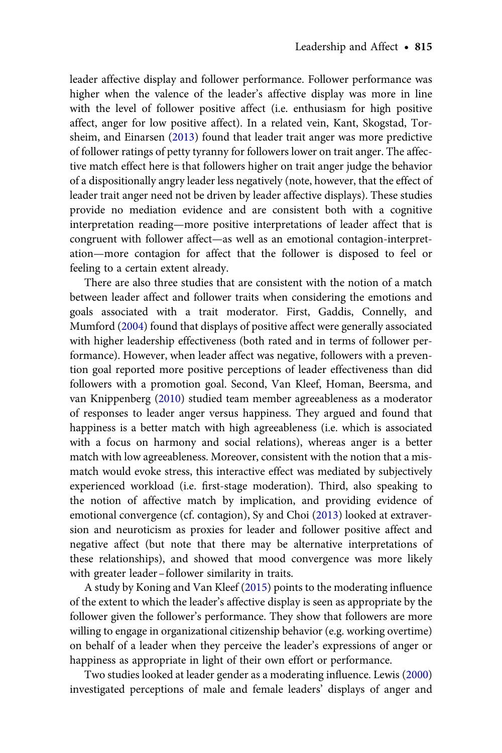<span id="page-17-0"></span>leader affective display and follower performance. Follower performance was higher when the valence of the leader's affective display was more in line with the level of follower positive affect (i.e. enthusiasm for high positive affect, anger for low positive affect). In a related vein, Kant, Skogstad, Torsheim, and Einarsen [\(2013](#page-38-0)) found that leader trait anger was more predictive of follower ratings of petty tyranny for followers lower on trait anger. The affective match effect here is that followers higher on trait anger judge the behavior of a dispositionally angry leader less negatively (note, however, that the effect of leader trait anger need not be driven by leader affective displays). These studies provide no mediation evidence and are consistent both with a cognitive interpretation reading—more positive interpretations of leader affect that is congruent with follower affect—as well as an emotional contagion-interpretation—more contagion for affect that the follower is disposed to feel or feeling to a certain extent already.

There are also three studies that are consistent with the notion of a match between leader affect and follower traits when considering the emotions and goals associated with a trait moderator. First, Gaddis, Connelly, and Mumford [\(2004\)](#page-38-0) found that displays of positive affect were generally associated with higher leadership effectiveness (both rated and in terms of follower performance). However, when leader affect was negative, followers with a prevention goal reported more positive perceptions of leader effectiveness than did followers with a promotion goal. Second, Van Kleef, Homan, Beersma, and van Knippenberg [\(2010\)](#page-42-0) studied team member agreeableness as a moderator of responses to leader anger versus happiness. They argued and found that happiness is a better match with high agreeableness (i.e. which is associated with a focus on harmony and social relations), whereas anger is a better match with low agreeableness. Moreover, consistent with the notion that a mismatch would evoke stress, this interactive effect was mediated by subjectively experienced workload (i.e. first-stage moderation). Third, also speaking to the notion of affective match by implication, and providing evidence of emotional convergence (cf. contagion), Sy and Choi ([2013](#page-41-0)) looked at extraversion and neuroticism as proxies for leader and follower positive affect and negative affect (but note that there may be alternative interpretations of these relationships), and showed that mood convergence was more likely with greater leader-follower similarity in traits.

A study by Koning and Van Kleef ([2015\)](#page-39-0) points to the moderating influence of the extent to which the leader's affective display is seen as appropriate by the follower given the follower's performance. They show that followers are more willing to engage in organizational citizenship behavior (e.g. working overtime) on behalf of a leader when they perceive the leader's expressions of anger or happiness as appropriate in light of their own effort or performance.

Two studies looked at leader gender as a moderating influence. Lewis [\(2000\)](#page-39-0) investigated perceptions of male and female leaders' displays of anger and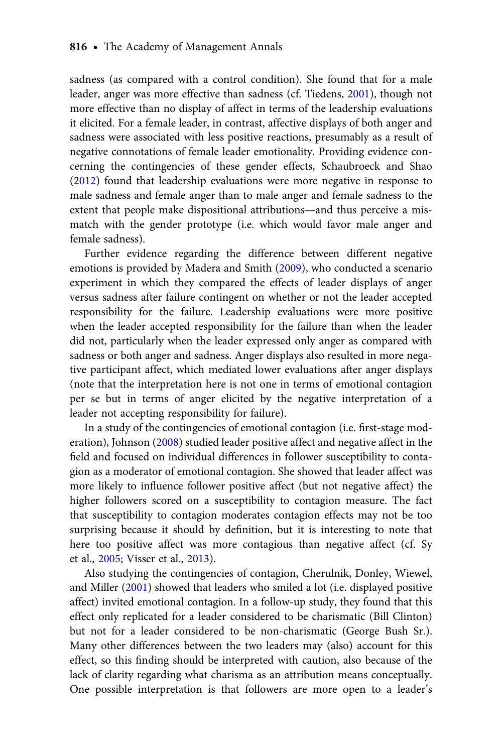<span id="page-18-0"></span>sadness (as compared with a control condition). She found that for a male leader, anger was more effective than sadness (cf. Tiedens, [2001](#page-41-0)), though not more effective than no display of affect in terms of the leadership evaluations it elicited. For a female leader, in contrast, affective displays of both anger and sadness were associated with less positive reactions, presumably as a result of negative connotations of female leader emotionality. Providing evidence concerning the contingencies of these gender effects, Schaubroeck and Shao [\(2012\)](#page-40-0) found that leadership evaluations were more negative in response to male sadness and female anger than to male anger and female sadness to the extent that people make dispositional attributions—and thus perceive a mismatch with the gender prototype (i.e. which would favor male anger and female sadness).

Further evidence regarding the difference between different negative emotions is provided by Madera and Smith [\(2009](#page-39-0)), who conducted a scenario experiment in which they compared the effects of leader displays of anger versus sadness after failure contingent on whether or not the leader accepted responsibility for the failure. Leadership evaluations were more positive when the leader accepted responsibility for the failure than when the leader did not, particularly when the leader expressed only anger as compared with sadness or both anger and sadness. Anger displays also resulted in more negative participant affect, which mediated lower evaluations after anger displays (note that the interpretation here is not one in terms of emotional contagion per se but in terms of anger elicited by the negative interpretation of a leader not accepting responsibility for failure).

In a study of the contingencies of emotional contagion (i.e. first-stage moderation), Johnson ([2008\)](#page-38-0) studied leader positive affect and negative affect in the field and focused on individual differences in follower susceptibility to contagion as a moderator of emotional contagion. She showed that leader affect was more likely to influence follower positive affect (but not negative affect) the higher followers scored on a susceptibility to contagion measure. The fact that susceptibility to contagion moderates contagion effects may not be too surprising because it should by definition, but it is interesting to note that here too positive affect was more contagious than negative affect (cf. Sy et al., [2005;](#page-41-0) Visser et al., [2013](#page-42-0)).

Also studying the contingencies of contagion, Cherulnik, Donley, Wiewel, and Miller [\(2001](#page-36-0)) showed that leaders who smiled a lot (i.e. displayed positive affect) invited emotional contagion. In a follow-up study, they found that this effect only replicated for a leader considered to be charismatic (Bill Clinton) but not for a leader considered to be non-charismatic (George Bush Sr.). Many other differences between the two leaders may (also) account for this effect, so this finding should be interpreted with caution, also because of the lack of clarity regarding what charisma as an attribution means conceptually. One possible interpretation is that followers are more open to a leader's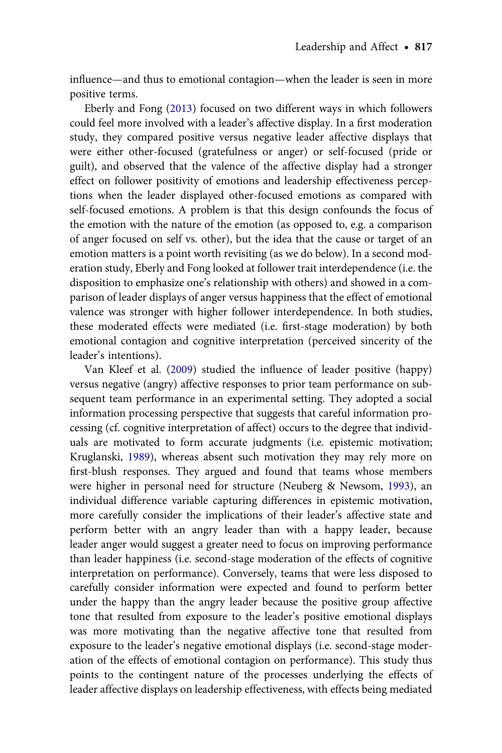<span id="page-19-0"></span>influence—and thus to emotional contagion—when the leader is seen in more positive terms.

Eberly and Fong [\(2013](#page-37-0)) focused on two different ways in which followers could feel more involved with a leader's affective display. In a first moderation study, they compared positive versus negative leader affective displays that were either other-focused (gratefulness or anger) or self-focused (pride or guilt), and observed that the valence of the affective display had a stronger effect on follower positivity of emotions and leadership effectiveness perceptions when the leader displayed other-focused emotions as compared with self-focused emotions. A problem is that this design confounds the focus of the emotion with the nature of the emotion (as opposed to, e.g. a comparison of anger focused on self vs. other), but the idea that the cause or target of an emotion matters is a point worth revisiting (as we do below). In a second moderation study, Eberly and Fong looked at follower trait interdependence (i.e. the disposition to emphasize one's relationship with others) and showed in a comparison of leader displays of anger versus happiness that the effect of emotional valence was stronger with higher follower interdependence. In both studies, these moderated effects were mediated (i.e. first-stage moderation) by both emotional contagion and cognitive interpretation (perceived sincerity of the leader's intentions).

Van Kleef et al. ([2009\)](#page-42-0) studied the influence of leader positive (happy) versus negative (angry) affective responses to prior team performance on subsequent team performance in an experimental setting. They adopted a social information processing perspective that suggests that careful information processing (cf. cognitive interpretation of affect) occurs to the degree that individuals are motivated to form accurate judgments (i.e. epistemic motivation; Kruglanski, [1989](#page-39-0)), whereas absent such motivation they may rely more on first-blush responses. They argued and found that teams whose members were higher in personal need for structure (Neuberg & Newsom, [1993\)](#page-40-0), an individual difference variable capturing differences in epistemic motivation, more carefully consider the implications of their leader's affective state and perform better with an angry leader than with a happy leader, because leader anger would suggest a greater need to focus on improving performance than leader happiness (i.e. second-stage moderation of the effects of cognitive interpretation on performance). Conversely, teams that were less disposed to carefully consider information were expected and found to perform better under the happy than the angry leader because the positive group affective tone that resulted from exposure to the leader's positive emotional displays was more motivating than the negative affective tone that resulted from exposure to the leader's negative emotional displays (i.e. second-stage moderation of the effects of emotional contagion on performance). This study thus points to the contingent nature of the processes underlying the effects of leader affective displays on leadership effectiveness, with effects being mediated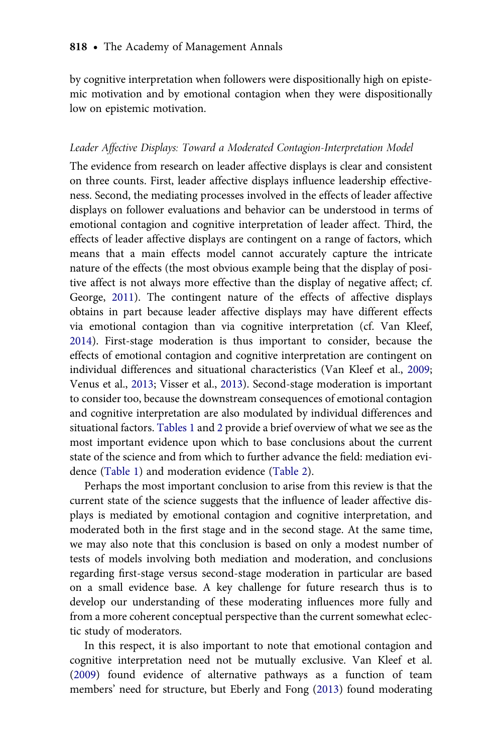<span id="page-20-0"></span>by cognitive interpretation when followers were dispositionally high on epistemic motivation and by emotional contagion when they were dispositionally low on epistemic motivation.

#### Leader Affective Displays: Toward a Moderated Contagion-Interpretation Model

The evidence from research on leader affective displays is clear and consistent on three counts. First, leader affective displays influence leadership effectiveness. Second, the mediating processes involved in the effects of leader affective displays on follower evaluations and behavior can be understood in terms of emotional contagion and cognitive interpretation of leader affect. Third, the effects of leader affective displays are contingent on a range of factors, which means that a main effects model cannot accurately capture the intricate nature of the effects (the most obvious example being that the display of positive affect is not always more effective than the display of negative affect; cf. George, [2011](#page-38-0)). The contingent nature of the effects of affective displays obtains in part because leader affective displays may have different effects via emotional contagion than via cognitive interpretation (cf. Van Kleef, [2014](#page-41-0)). First-stage moderation is thus important to consider, because the effects of emotional contagion and cognitive interpretation are contingent on individual differences and situational characteristics (Van Kleef et al., [2009;](#page-42-0) Venus et al., [2013](#page-42-0); Visser et al., [2013\)](#page-42-0). Second-stage moderation is important to consider too, because the downstream consequences of emotional contagion and cognitive interpretation are also modulated by individual differences and situational factors. [Tables 1](#page-21-0) and [2](#page-23-0) provide a brief overview of what we see as the most important evidence upon which to base conclusions about the current state of the science and from which to further advance the field: mediation evidence ([Table 1\)](#page-21-0) and moderation evidence ([Table 2\)](#page-23-0).

Perhaps the most important conclusion to arise from this review is that the current state of the science suggests that the influence of leader affective displays is mediated by emotional contagion and cognitive interpretation, and moderated both in the first stage and in the second stage. At the same time, we may also note that this conclusion is based on only a modest number of tests of models involving both mediation and moderation, and conclusions regarding first-stage versus second-stage moderation in particular are based on a small evidence base. A key challenge for future research thus is to develop our understanding of these moderating influences more fully and from a more coherent conceptual perspective than the current somewhat eclectic study of moderators.

In this respect, it is also important to note that emotional contagion and cognitive interpretation need not be mutually exclusive. Van Kleef et al. [\(2009\)](#page-42-0) found evidence of alternative pathways as a function of team members' need for structure, but Eberly and Fong ([2013\)](#page-37-0) found moderating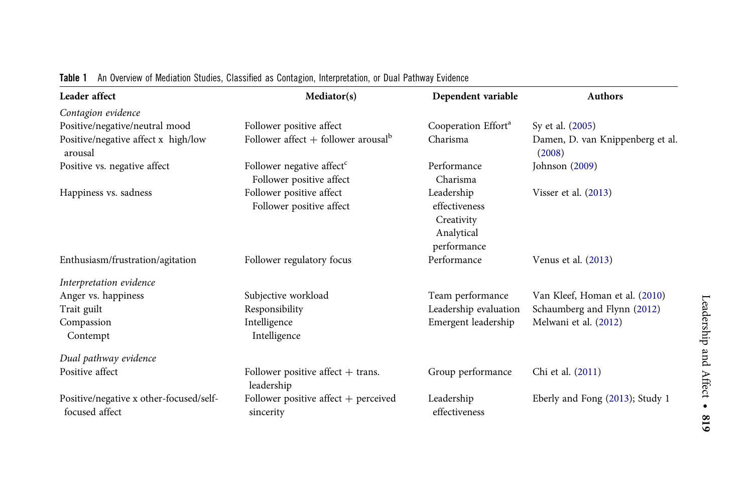| Leader affect                                             | Mediator(s)                                                       | Dependent variable                                                     | <b>Authors</b>                             |
|-----------------------------------------------------------|-------------------------------------------------------------------|------------------------------------------------------------------------|--------------------------------------------|
| Contagion evidence                                        |                                                                   |                                                                        |                                            |
| Positive/negative/neutral mood                            | Follower positive affect                                          | Cooperation Effort <sup>a</sup>                                        | Sy et al. (2005)                           |
| Positive/negative affect x high/low<br>arousal            | Follower affect $+$ follower arousal <sup>b</sup>                 | Charisma                                                               | Damen, D. van Knippenberg et al.<br>(2008) |
| Positive vs. negative affect                              | Follower negative affect <sup>c</sup><br>Follower positive affect | Performance<br>Charisma                                                | Johnson (2009)                             |
| Happiness vs. sadness                                     | Follower positive affect<br>Follower positive affect              | Leadership<br>effectiveness<br>Creativity<br>Analytical<br>performance | Visser et al. (2013)                       |
| Enthusiasm/frustration/agitation                          | Follower regulatory focus                                         | Performance                                                            | Venus et al. (2013)                        |
| Interpretation evidence                                   |                                                                   |                                                                        |                                            |
| Anger vs. happiness                                       | Subjective workload                                               | Team performance                                                       | Van Kleef, Homan et al. (2010)             |
| Trait guilt                                               | Responsibility                                                    | Leadership evaluation                                                  | Schaumberg and Flynn (2012)                |
| Compassion<br>Contempt                                    | Intelligence<br>Intelligence                                      | Emergent leadership                                                    | Melwani et al. (2012)                      |
| Dual pathway evidence                                     |                                                                   |                                                                        |                                            |
| Positive affect                                           | Follower positive affect $+$ trans.<br>leadership                 | Group performance                                                      | Chi et al. (2011)                          |
| Positive/negative x other-focused/self-<br>focused affect | Follower positive affect $+$ perceived<br>sincerity               | Leadership<br>effectiveness                                            | Eberly and Fong (2013); Study 1            |

#### <span id="page-21-0"></span>**Table 1** An Overview of Mediation Studies, Classified as Contagion, Interpretation, or Dual Pathway Evidence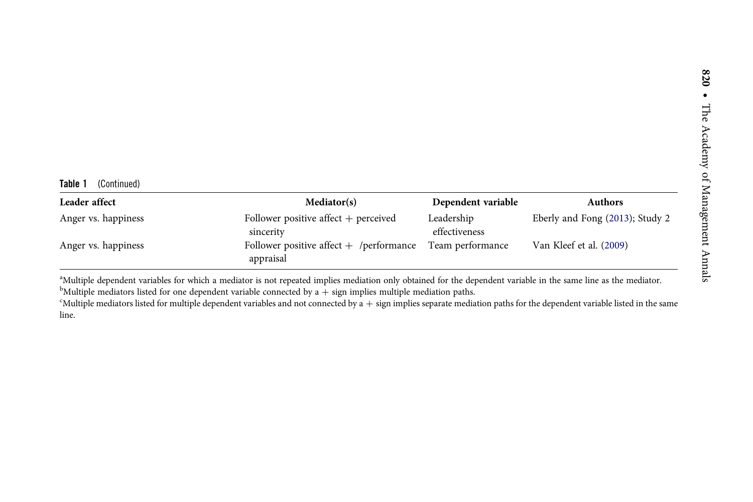| Table 1<br>(Continued) |                                                        |                             |                                 |  |
|------------------------|--------------------------------------------------------|-----------------------------|---------------------------------|--|
| Leader affect          | Mediator(s)                                            | Dependent variable          | <b>Authors</b>                  |  |
| Anger vs. happiness    | Follower positive affect $+$ perceived<br>sincerity    | Leadership<br>effectiveness | Eberly and Fong (2013); Study 2 |  |
| Anger vs. happiness    | Follower positive affect $+$ /performance<br>appraisal | Team performance            | Van Kleef et al. (2009)         |  |

<sup>a</sup>Multiple dependent variables for which a mediator is not repeated implies mediation only obtained for the dependent variable in the same line as the mediator.  $<sup>b</sup>$ Multiple mediators listed for one dependent variable connected by a + sign implies multiple mediation paths.</sup>

 $\epsilon$ Multiple mediators listed for multiple dependent variables and not connected by a  $+$  sign implies separate mediation paths for the dependent variable listed in the same line.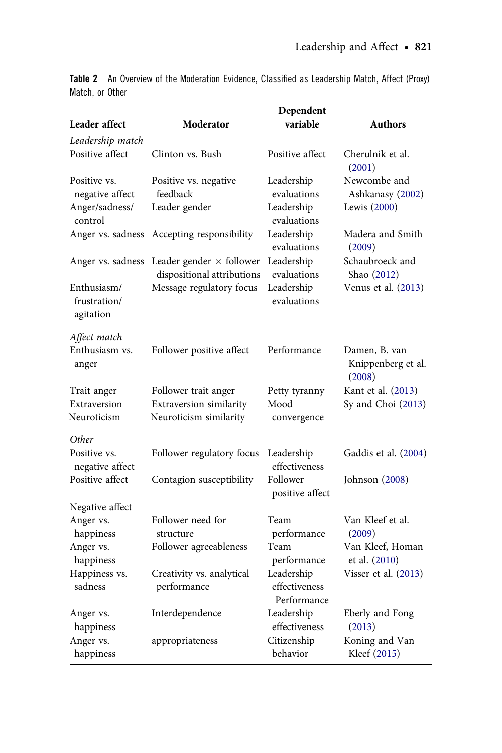<span id="page-23-0"></span>Table 2 An Overview of the Moderation Evidence, Classified as Leadership Match, Affect (Proxy) Match, or Other ÷,

| Leader affect                            | Moderator                                                     | Dependent<br>variable                      | <b>Authors</b>                                |
|------------------------------------------|---------------------------------------------------------------|--------------------------------------------|-----------------------------------------------|
| Leadership match<br>Positive affect      | Clinton vs. Bush                                              | Positive affect                            | Cherulnik et al.                              |
|                                          |                                                               |                                            | (2001)                                        |
| Positive vs.                             | Positive vs. negative                                         | Leadership                                 | Newcombe and                                  |
| negative affect                          | feedback                                                      | evaluations                                | Ashkanasy (2002)                              |
| Anger/sadness/<br>control                | Leader gender                                                 | Leadership<br>evaluations                  | Lewis (2000)                                  |
| Anger vs. sadness                        | Accepting responsibility                                      | Leadership<br>evaluations                  | Madera and Smith<br>(2009)                    |
| Anger vs. sadness                        | Leader gender $\times$ follower<br>dispositional attributions | Leadership<br>evaluations                  | Schaubroeck and<br>Shao (2012)                |
| Enthusiasm/<br>frustration/<br>agitation | Message regulatory focus                                      | Leadership<br>evaluations                  | Venus et al. (2013)                           |
| Affect match                             |                                                               |                                            |                                               |
| Enthusiasm vs.<br>anger                  | Follower positive affect                                      | Performance                                | Damen, B. van<br>Knippenberg et al.<br>(2008) |
| Trait anger                              | Follower trait anger                                          | Petty tyranny                              | Kant et al. (2013)                            |
| Extraversion                             | Extraversion similarity                                       | Mood                                       | Sy and Choi (2013)                            |
| Neuroticism                              | Neuroticism similarity                                        | convergence                                |                                               |
| Other                                    |                                                               |                                            |                                               |
| Positive vs.<br>negative affect          | Follower regulatory focus                                     | Leadership<br>effectiveness                | Gaddis et al. (2004)                          |
| Positive affect                          | Contagion susceptibility                                      | Follower<br>positive affect                | Johnson (2008)                                |
| Negative affect                          |                                                               |                                            |                                               |
| Anger vs.                                | Follower need for                                             | Team                                       | Van Kleef et al.                              |
| happiness                                | structure                                                     | performance                                | (2009)                                        |
| Anger vs.                                | Follower agreeableness                                        | Team                                       | Van Kleef, Homan                              |
| happiness                                |                                                               | performance                                | et al. (2010)                                 |
| Happiness vs.<br>sadness                 | Creativity vs. analytical<br>performance                      | Leadership<br>effectiveness<br>Performance | Visser et al. (2013)                          |
| Anger vs.<br>happiness                   | Interdependence                                               | Leadership<br>effectiveness                | Eberly and Fong<br>(2013)                     |
| Anger vs.                                | appropriateness                                               | Citizenship                                | Koning and Van                                |
| happiness                                |                                                               | behavior                                   | Kleef (2015)                                  |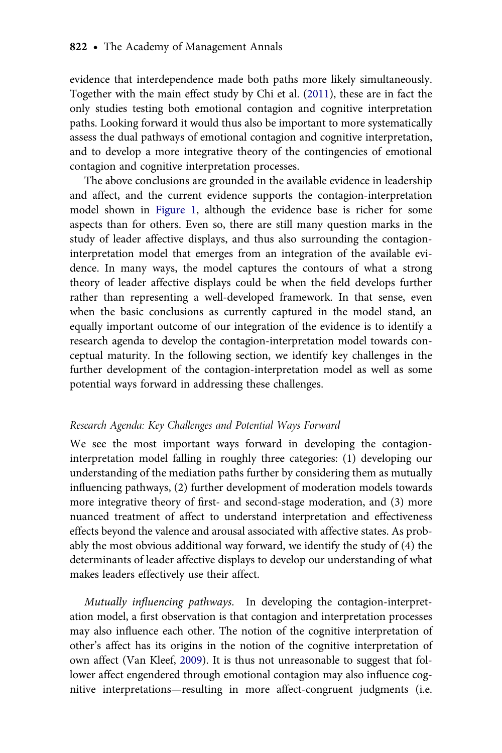evidence that interdependence made both paths more likely simultaneously. Together with the main effect study by Chi et al. [\(2011\)](#page-36-0), these are in fact the only studies testing both emotional contagion and cognitive interpretation paths. Looking forward it would thus also be important to more systematically assess the dual pathways of emotional contagion and cognitive interpretation, and to develop a more integrative theory of the contingencies of emotional contagion and cognitive interpretation processes.

The above conclusions are grounded in the available evidence in leadership and affect, and the current evidence supports the contagion-interpretation model shown in [Figure 1,](#page-9-0) although the evidence base is richer for some aspects than for others. Even so, there are still many question marks in the study of leader affective displays, and thus also surrounding the contagioninterpretation model that emerges from an integration of the available evidence. In many ways, the model captures the contours of what a strong theory of leader affective displays could be when the field develops further rather than representing a well-developed framework. In that sense, even when the basic conclusions as currently captured in the model stand, an equally important outcome of our integration of the evidence is to identify a research agenda to develop the contagion-interpretation model towards conceptual maturity. In the following section, we identify key challenges in the further development of the contagion-interpretation model as well as some potential ways forward in addressing these challenges.

#### Research Agenda: Key Challenges and Potential Ways Forward

We see the most important ways forward in developing the contagioninterpretation model falling in roughly three categories: (1) developing our understanding of the mediation paths further by considering them as mutually influencing pathways, (2) further development of moderation models towards more integrative theory of first- and second-stage moderation, and (3) more nuanced treatment of affect to understand interpretation and effectiveness effects beyond the valence and arousal associated with affective states. As probably the most obvious additional way forward, we identify the study of (4) the determinants of leader affective displays to develop our understanding of what makes leaders effectively use their affect.

Mutually influencing pathways. In developing the contagion-interpretation model, a first observation is that contagion and interpretation processes may also influence each other. The notion of the cognitive interpretation of other's affect has its origins in the notion of the cognitive interpretation of own affect (Van Kleef, [2009\)](#page-41-0). It is thus not unreasonable to suggest that follower affect engendered through emotional contagion may also influence cognitive interpretations—resulting in more affect-congruent judgments (i.e.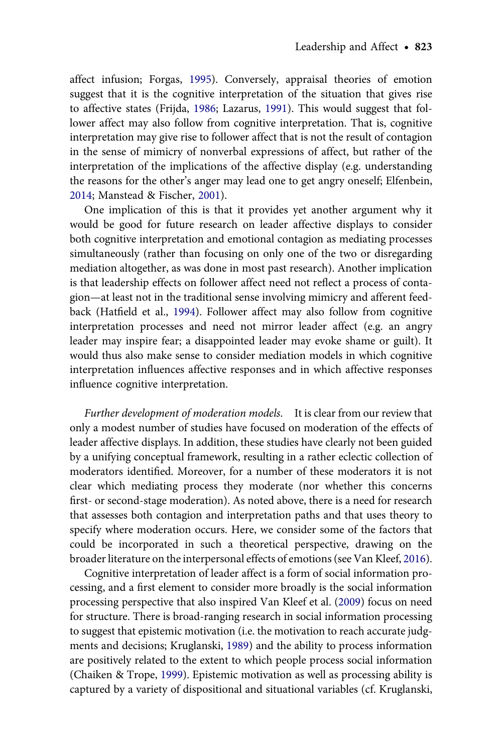<span id="page-25-0"></span>affect infusion; Forgas, [1995\)](#page-37-0). Conversely, appraisal theories of emotion suggest that it is the cognitive interpretation of the situation that gives rise to affective states (Frijda, [1986;](#page-38-0) Lazarus, [1991](#page-39-0)). This would suggest that follower affect may also follow from cognitive interpretation. That is, cognitive interpretation may give rise to follower affect that is not the result of contagion in the sense of mimicry of nonverbal expressions of affect, but rather of the interpretation of the implications of the affective display (e.g. understanding the reasons for the other's anger may lead one to get angry oneself; Elfenbein, [2014](#page-37-0); Manstead & Fischer, [2001\)](#page-40-0).

One implication of this is that it provides yet another argument why it would be good for future research on leader affective displays to consider both cognitive interpretation and emotional contagion as mediating processes simultaneously (rather than focusing on only one of the two or disregarding mediation altogether, as was done in most past research). Another implication is that leadership effects on follower affect need not reflect a process of contagion—at least not in the traditional sense involving mimicry and afferent feedback (Hatfield et al., [1994](#page-38-0)). Follower affect may also follow from cognitive interpretation processes and need not mirror leader affect (e.g. an angry leader may inspire fear; a disappointed leader may evoke shame or guilt). It would thus also make sense to consider mediation models in which cognitive interpretation influences affective responses and in which affective responses influence cognitive interpretation.

Further development of moderation models. It is clear from our review that only a modest number of studies have focused on moderation of the effects of leader affective displays. In addition, these studies have clearly not been guided by a unifying conceptual framework, resulting in a rather eclectic collection of moderators identified. Moreover, for a number of these moderators it is not clear which mediating process they moderate (nor whether this concerns first- or second-stage moderation). As noted above, there is a need for research that assesses both contagion and interpretation paths and that uses theory to specify where moderation occurs. Here, we consider some of the factors that could be incorporated in such a theoretical perspective, drawing on the broader literature on the interpersonal effects of emotions (see Van Kleef, [2016](#page-41-0)).

Cognitive interpretation of leader affect is a form of social information processing, and a first element to consider more broadly is the social information processing perspective that also inspired Van Kleef et al. [\(2009](#page-42-0)) focus on need for structure. There is broad-ranging research in social information processing to suggest that epistemic motivation (i.e. the motivation to reach accurate judgments and decisions; Kruglanski, [1989](#page-39-0)) and the ability to process information are positively related to the extent to which people process social information (Chaiken & Trope, [1999](#page-36-0)). Epistemic motivation as well as processing ability is captured by a variety of dispositional and situational variables (cf. Kruglanski,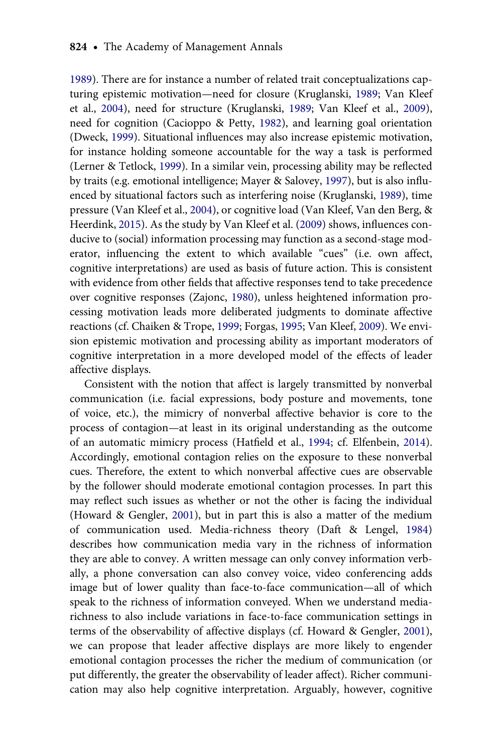<span id="page-26-0"></span>[1989](#page-39-0)). There are for instance a number of related trait conceptualizations capturing epistemic motivation—need for closure (Kruglanski, [1989](#page-39-0); Van Kleef et al., [2004](#page-41-0)), need for structure (Kruglanski, [1989;](#page-39-0) Van Kleef et al., [2009](#page-42-0)), need for cognition (Cacioppo & Petty, [1982](#page-36-0)), and learning goal orientation (Dweck, [1999\)](#page-37-0). Situational influences may also increase epistemic motivation, for instance holding someone accountable for the way a task is performed (Lerner & Tetlock, [1999](#page-39-0)). In a similar vein, processing ability may be reflected by traits (e.g. emotional intelligence; Mayer & Salovey, [1997\)](#page-40-0), but is also influenced by situational factors such as interfering noise (Kruglanski, [1989](#page-39-0)), time pressure (Van Kleef et al., [2004\)](#page-41-0), or cognitive load (Van Kleef, Van den Berg, & Heerdink, [2015](#page-42-0)). As the study by Van Kleef et al. ([2009](#page-42-0)) shows, influences conducive to (social) information processing may function as a second-stage moderator, influencing the extent to which available "cues" (i.e. own affect, cognitive interpretations) are used as basis of future action. This is consistent with evidence from other fields that affective responses tend to take precedence over cognitive responses (Zajonc, [1980](#page-42-0)), unless heightened information processing motivation leads more deliberated judgments to dominate affective reactions (cf. Chaiken & Trope, [1999;](#page-36-0) Forgas, [1995](#page-37-0); Van Kleef, [2009\)](#page-41-0). We envision epistemic motivation and processing ability as important moderators of cognitive interpretation in a more developed model of the effects of leader affective displays.

Consistent with the notion that affect is largely transmitted by nonverbal communication (i.e. facial expressions, body posture and movements, tone of voice, etc.), the mimicry of nonverbal affective behavior is core to the process of contagion—at least in its original understanding as the outcome of an automatic mimicry process (Hatfield et al., [1994](#page-38-0); cf. Elfenbein, [2014](#page-37-0)). Accordingly, emotional contagion relies on the exposure to these nonverbal cues. Therefore, the extent to which nonverbal affective cues are observable by the follower should moderate emotional contagion processes. In part this may reflect such issues as whether or not the other is facing the individual (Howard & Gengler, [2001](#page-38-0)), but in part this is also a matter of the medium of communication used. Media-richness theory (Daft & Lengel, [1984\)](#page-37-0) describes how communication media vary in the richness of information they are able to convey. A written message can only convey information verbally, a phone conversation can also convey voice, video conferencing adds image but of lower quality than face-to-face communication—all of which speak to the richness of information conveyed. When we understand mediarichness to also include variations in face-to-face communication settings in terms of the observability of affective displays (cf. Howard & Gengler, [2001](#page-38-0)), we can propose that leader affective displays are more likely to engender emotional contagion processes the richer the medium of communication (or put differently, the greater the observability of leader affect). Richer communication may also help cognitive interpretation. Arguably, however, cognitive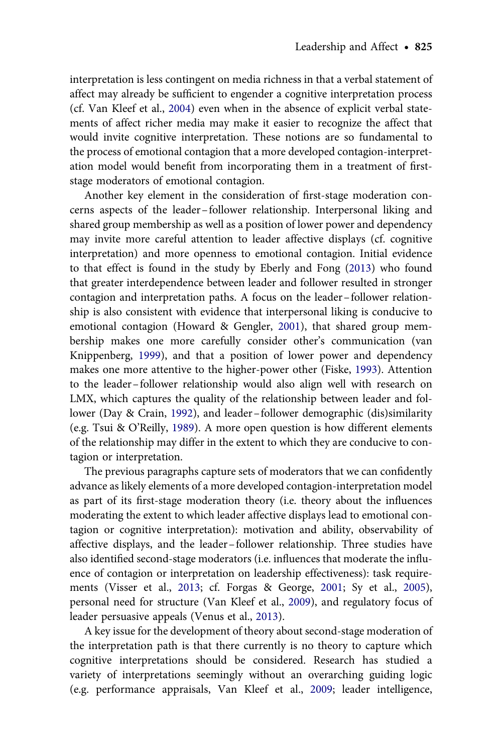<span id="page-27-0"></span>interpretation is less contingent on media richness in that a verbal statement of affect may already be sufficient to engender a cognitive interpretation process (cf. Van Kleef et al., [2004](#page-41-0)) even when in the absence of explicit verbal statements of affect richer media may make it easier to recognize the affect that would invite cognitive interpretation. These notions are so fundamental to the process of emotional contagion that a more developed contagion-interpretation model would benefit from incorporating them in a treatment of firststage moderators of emotional contagion.

Another key element in the consideration of first-stage moderation concerns aspects of the leader –follower relationship. Interpersonal liking and shared group membership as well as a position of lower power and dependency may invite more careful attention to leader affective displays (cf. cognitive interpretation) and more openness to emotional contagion. Initial evidence to that effect is found in the study by Eberly and Fong [\(2013\)](#page-37-0) who found that greater interdependence between leader and follower resulted in stronger contagion and interpretation paths. A focus on the leader –follower relationship is also consistent with evidence that interpersonal liking is conducive to emotional contagion (Howard & Gengler, [2001\)](#page-38-0), that shared group membership makes one more carefully consider other's communication (van Knippenberg, [1999](#page-39-0)), and that a position of lower power and dependency makes one more attentive to the higher-power other (Fiske, [1993\)](#page-37-0). Attention to the leader –follower relationship would also align well with research on LMX, which captures the quality of the relationship between leader and fol-lower (Day & Crain, [1992](#page-37-0)), and leader-follower demographic (dis)similarity (e.g. Tsui & O'Reilly, [1989](#page-41-0)). A more open question is how different elements of the relationship may differ in the extent to which they are conducive to contagion or interpretation.

The previous paragraphs capture sets of moderators that we can confidently advance as likely elements of a more developed contagion-interpretation model as part of its first-stage moderation theory (i.e. theory about the influences moderating the extent to which leader affective displays lead to emotional contagion or cognitive interpretation): motivation and ability, observability of affective displays, and the leader –follower relationship. Three studies have also identified second-stage moderators (i.e. influences that moderate the influence of contagion or interpretation on leadership effectiveness): task requirements (Visser et al., [2013](#page-42-0); cf. Forgas & George, [2001](#page-38-0); Sy et al., [2005](#page-41-0)), personal need for structure (Van Kleef et al., [2009](#page-42-0)), and regulatory focus of leader persuasive appeals (Venus et al., [2013](#page-42-0)).

A key issue for the development of theory about second-stage moderation of the interpretation path is that there currently is no theory to capture which cognitive interpretations should be considered. Research has studied a variety of interpretations seemingly without an overarching guiding logic (e.g. performance appraisals, Van Kleef et al., [2009](#page-42-0); leader intelligence,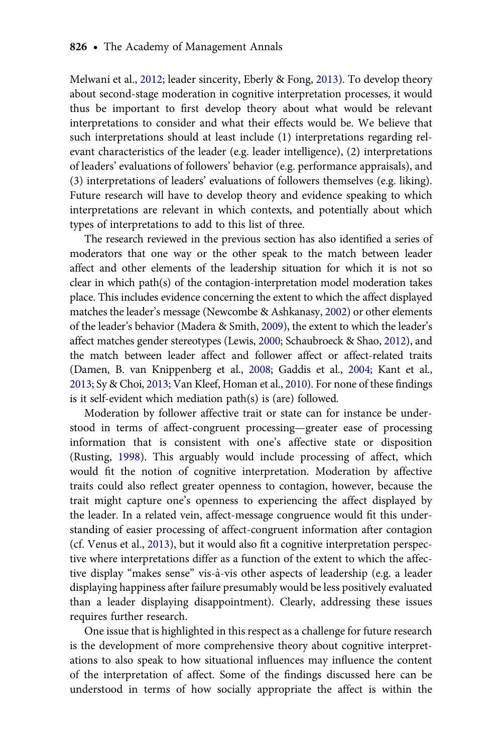<span id="page-28-0"></span>Melwani et al., [2012;](#page-40-0) leader sincerity, Eberly & Fong, [2013](#page-37-0)). To develop theory about second-stage moderation in cognitive interpretation processes, it would thus be important to first develop theory about what would be relevant interpretations to consider and what their effects would be. We believe that such interpretations should at least include (1) interpretations regarding relevant characteristics of the leader (e.g. leader intelligence), (2) interpretations of leaders' evaluations of followers' behavior (e.g. performance appraisals), and (3) interpretations of leaders' evaluations of followers themselves (e.g. liking). Future research will have to develop theory and evidence speaking to which interpretations are relevant in which contexts, and potentially about which types of interpretations to add to this list of three.

The research reviewed in the previous section has also identified a series of moderators that one way or the other speak to the match between leader affect and other elements of the leadership situation for which it is not so clear in which path(s) of the contagion-interpretation model moderation takes place. This includes evidence concerning the extent to which the affect displayed matches the leader's message (Newcombe & Ashkanasy, [2002](#page-40-0)) or other elements of the leader's behavior (Madera & Smith, [2009\)](#page-39-0), the extent to which the leader's affect matches gender stereotypes (Lewis, [2000](#page-39-0); Schaubroeck & Shao, [2012](#page-40-0)), and the match between leader affect and follower affect or affect-related traits (Damen, B. van Knippenberg et al., [2008;](#page-37-0) Gaddis et al., [2004](#page-38-0); Kant et al., [2013;](#page-38-0) Sy & Choi, [2013;](#page-41-0) Van Kleef, Homan et al., [2010](#page-42-0)). For none of these findings is it self-evident which mediation path(s) is (are) followed.

Moderation by follower affective trait or state can for instance be understood in terms of affect-congruent processing—greater ease of processing information that is consistent with one's affective state or disposition (Rusting, [1998\)](#page-40-0). This arguably would include processing of affect, which would fit the notion of cognitive interpretation. Moderation by affective traits could also reflect greater openness to contagion, however, because the trait might capture one's openness to experiencing the affect displayed by the leader. In a related vein, affect-message congruence would fit this understanding of easier processing of affect-congruent information after contagion (cf. Venus et al., [2013](#page-42-0)), but it would also fit a cognitive interpretation perspective where interpretations differ as a function of the extent to which the affective display "makes sense" vis-a`-vis other aspects of leadership (e.g. a leader displaying happiness after failure presumably would be less positively evaluated than a leader displaying disappointment). Clearly, addressing these issues requires further research.

One issue that is highlighted in this respect as a challenge for future research is the development of more comprehensive theory about cognitive interpretations to also speak to how situational influences may influence the content of the interpretation of affect. Some of the findings discussed here can be understood in terms of how socially appropriate the affect is within the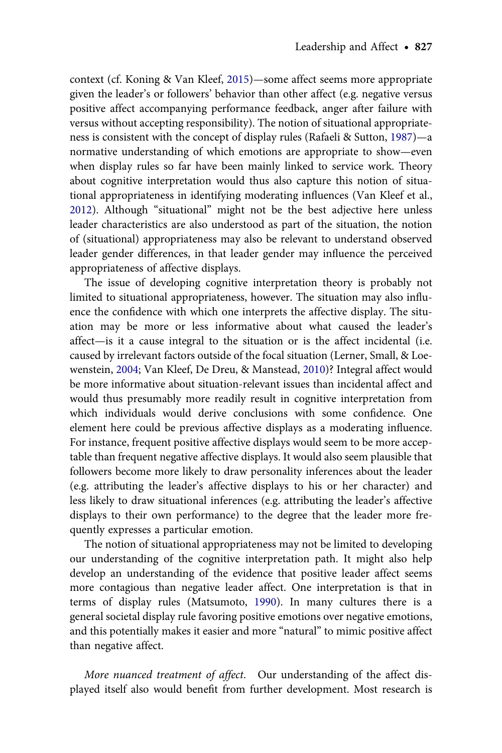<span id="page-29-0"></span>context (cf. Koning & Van Kleef, [2015](#page-39-0))—some affect seems more appropriate given the leader's or followers' behavior than other affect (e.g. negative versus positive affect accompanying performance feedback, anger after failure with versus without accepting responsibility). The notion of situational appropriateness is consistent with the concept of display rules (Rafaeli & Sutton, [1987](#page-40-0))—a normative understanding of which emotions are appropriate to show—even when display rules so far have been mainly linked to service work. Theory about cognitive interpretation would thus also capture this notion of situational appropriateness in identifying moderating influences (Van Kleef et al., [2012](#page-42-0)). Although "situational" might not be the best adjective here unless leader characteristics are also understood as part of the situation, the notion of (situational) appropriateness may also be relevant to understand observed leader gender differences, in that leader gender may influence the perceived appropriateness of affective displays.

The issue of developing cognitive interpretation theory is probably not limited to situational appropriateness, however. The situation may also influence the confidence with which one interprets the affective display. The situation may be more or less informative about what caused the leader's affect—is it a cause integral to the situation or is the affect incidental (i.e. caused by irrelevant factors outside of the focal situation (Lerner, Small, & Loewenstein, [2004](#page-39-0); Van Kleef, De Dreu, & Manstead, [2010\)](#page-42-0)? Integral affect would be more informative about situation-relevant issues than incidental affect and would thus presumably more readily result in cognitive interpretation from which individuals would derive conclusions with some confidence. One element here could be previous affective displays as a moderating influence. For instance, frequent positive affective displays would seem to be more acceptable than frequent negative affective displays. It would also seem plausible that followers become more likely to draw personality inferences about the leader (e.g. attributing the leader's affective displays to his or her character) and less likely to draw situational inferences (e.g. attributing the leader's affective displays to their own performance) to the degree that the leader more frequently expresses a particular emotion.

The notion of situational appropriateness may not be limited to developing our understanding of the cognitive interpretation path. It might also help develop an understanding of the evidence that positive leader affect seems more contagious than negative leader affect. One interpretation is that in terms of display rules (Matsumoto, [1990\)](#page-40-0). In many cultures there is a general societal display rule favoring positive emotions over negative emotions, and this potentially makes it easier and more "natural" to mimic positive affect than negative affect.

More nuanced treatment of affect. Our understanding of the affect displayed itself also would benefit from further development. Most research is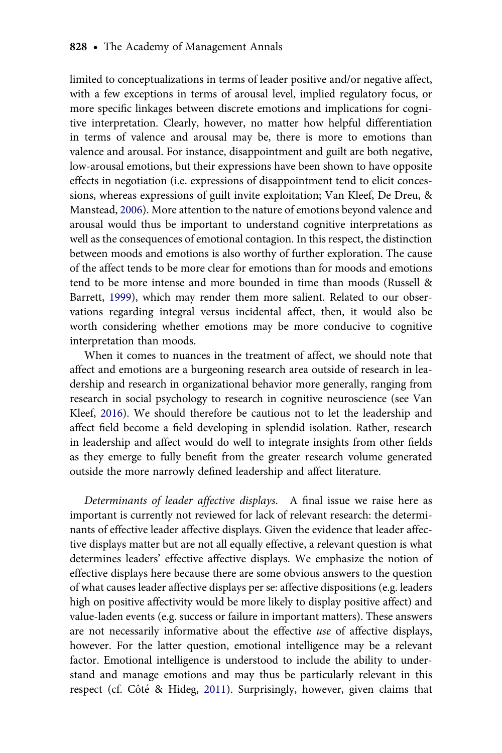<span id="page-30-0"></span>limited to conceptualizations in terms of leader positive and/or negative affect, with a few exceptions in terms of arousal level, implied regulatory focus, or more specific linkages between discrete emotions and implications for cognitive interpretation. Clearly, however, no matter how helpful differentiation in terms of valence and arousal may be, there is more to emotions than valence and arousal. For instance, disappointment and guilt are both negative, low-arousal emotions, but their expressions have been shown to have opposite effects in negotiation (i.e. expressions of disappointment tend to elicit concessions, whereas expressions of guilt invite exploitation; Van Kleef, De Dreu, & Manstead, [2006\)](#page-41-0). More attention to the nature of emotions beyond valence and arousal would thus be important to understand cognitive interpretations as well as the consequences of emotional contagion. In this respect, the distinction between moods and emotions is also worthy of further exploration. The cause of the affect tends to be more clear for emotions than for moods and emotions tend to be more intense and more bounded in time than moods (Russell & Barrett, [1999](#page-40-0)), which may render them more salient. Related to our observations regarding integral versus incidental affect, then, it would also be worth considering whether emotions may be more conducive to cognitive interpretation than moods.

When it comes to nuances in the treatment of affect, we should note that affect and emotions are a burgeoning research area outside of research in leadership and research in organizational behavior more generally, ranging from research in social psychology to research in cognitive neuroscience (see Van Kleef, [2016\)](#page-41-0). We should therefore be cautious not to let the leadership and affect field become a field developing in splendid isolation. Rather, research in leadership and affect would do well to integrate insights from other fields as they emerge to fully benefit from the greater research volume generated outside the more narrowly defined leadership and affect literature.

Determinants of leader affective displays. A final issue we raise here as important is currently not reviewed for lack of relevant research: the determinants of effective leader affective displays. Given the evidence that leader affective displays matter but are not all equally effective, a relevant question is what determines leaders' effective affective displays. We emphasize the notion of effective displays here because there are some obvious answers to the question of what causes leader affective displays per se: affective dispositions (e.g. leaders high on positive affectivity would be more likely to display positive affect) and value-laden events (e.g. success or failure in important matters). These answers are not necessarily informative about the effective use of affective displays, however. For the latter question, emotional intelligence may be a relevant factor. Emotional intelligence is understood to include the ability to understand and manage emotions and may thus be particularly relevant in this respect (cf. Côté & Hideg, [2011\)](#page-36-0). Surprisingly, however, given claims that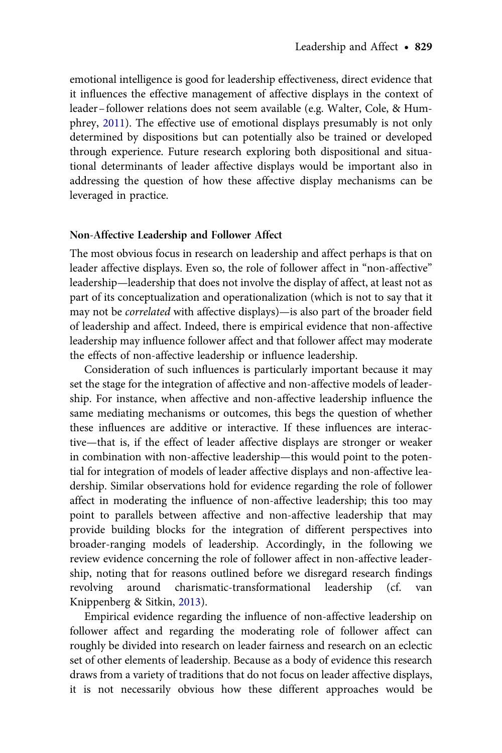<span id="page-31-0"></span>emotional intelligence is good for leadership effectiveness, direct evidence that it influences the effective management of affective displays in the context of leader –follower relations does not seem available (e.g. Walter, Cole, & Humphrey, [2011\)](#page-42-0). The effective use of emotional displays presumably is not only determined by dispositions but can potentially also be trained or developed through experience. Future research exploring both dispositional and situational determinants of leader affective displays would be important also in addressing the question of how these affective display mechanisms can be leveraged in practice.

#### Non-Affective Leadership and Follower Affect

The most obvious focus in research on leadership and affect perhaps is that on leader affective displays. Even so, the role of follower affect in "non-affective" leadership—leadership that does not involve the display of affect, at least not as part of its conceptualization and operationalization (which is not to say that it may not be correlated with affective displays)—is also part of the broader field of leadership and affect. Indeed, there is empirical evidence that non-affective leadership may influence follower affect and that follower affect may moderate the effects of non-affective leadership or influence leadership.

Consideration of such influences is particularly important because it may set the stage for the integration of affective and non-affective models of leadership. For instance, when affective and non-affective leadership influence the same mediating mechanisms or outcomes, this begs the question of whether these influences are additive or interactive. If these influences are interactive—that is, if the effect of leader affective displays are stronger or weaker in combination with non-affective leadership—this would point to the potential for integration of models of leader affective displays and non-affective leadership. Similar observations hold for evidence regarding the role of follower affect in moderating the influence of non-affective leadership; this too may point to parallels between affective and non-affective leadership that may provide building blocks for the integration of different perspectives into broader-ranging models of leadership. Accordingly, in the following we review evidence concerning the role of follower affect in non-affective leadership, noting that for reasons outlined before we disregard research findings revolving around charismatic-transformational leadership (cf. van Knippenberg & Sitkin, [2013\)](#page-39-0).

Empirical evidence regarding the influence of non-affective leadership on follower affect and regarding the moderating role of follower affect can roughly be divided into research on leader fairness and research on an eclectic set of other elements of leadership. Because as a body of evidence this research draws from a variety of traditions that do not focus on leader affective displays, it is not necessarily obvious how these different approaches would be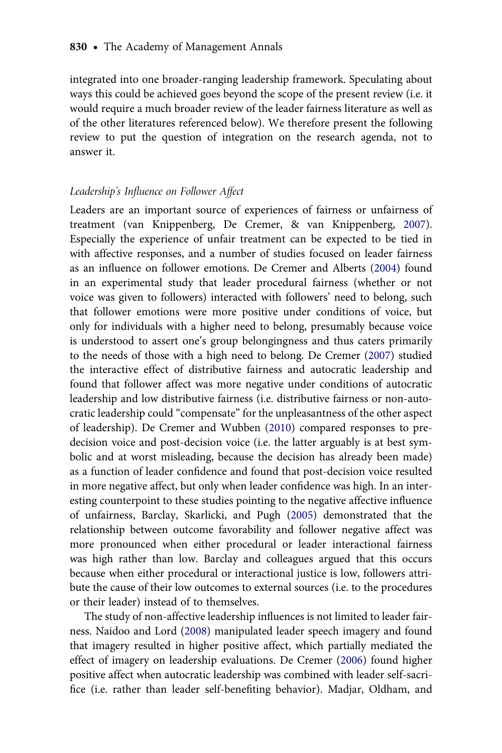<span id="page-32-0"></span>integrated into one broader-ranging leadership framework. Speculating about ways this could be achieved goes beyond the scope of the present review (i.e. it would require a much broader review of the leader fairness literature as well as of the other literatures referenced below). We therefore present the following review to put the question of integration on the research agenda, not to answer it.

#### Leadership's Influence on Follower Affect

Leaders are an important source of experiences of fairness or unfairness of treatment (van Knippenberg, De Cremer, & van Knippenberg, [2007](#page-39-0)). Especially the experience of unfair treatment can be expected to be tied in with affective responses, and a number of studies focused on leader fairness as an influence on follower emotions. De Cremer and Alberts ([2004](#page-37-0)) found in an experimental study that leader procedural fairness (whether or not voice was given to followers) interacted with followers' need to belong, such that follower emotions were more positive under conditions of voice, but only for individuals with a higher need to belong, presumably because voice is understood to assert one's group belongingness and thus caters primarily to the needs of those with a high need to belong. De Cremer ([2007](#page-37-0)) studied the interactive effect of distributive fairness and autocratic leadership and found that follower affect was more negative under conditions of autocratic leadership and low distributive fairness (i.e. distributive fairness or non-autocratic leadership could "compensate" for the unpleasantness of the other aspect of leadership). De Cremer and Wubben [\(2010\)](#page-37-0) compared responses to predecision voice and post-decision voice (i.e. the latter arguably is at best symbolic and at worst misleading, because the decision has already been made) as a function of leader confidence and found that post-decision voice resulted in more negative affect, but only when leader confidence was high. In an interesting counterpoint to these studies pointing to the negative affective influence of unfairness, Barclay, Skarlicki, and Pugh [\(2005](#page-36-0)) demonstrated that the relationship between outcome favorability and follower negative affect was more pronounced when either procedural or leader interactional fairness was high rather than low. Barclay and colleagues argued that this occurs because when either procedural or interactional justice is low, followers attribute the cause of their low outcomes to external sources (i.e. to the procedures or their leader) instead of to themselves.

The study of non-affective leadership influences is not limited to leader fairness. Naidoo and Lord ([2008\)](#page-40-0) manipulated leader speech imagery and found that imagery resulted in higher positive affect, which partially mediated the effect of imagery on leadership evaluations. De Cremer ([2006](#page-37-0)) found higher positive affect when autocratic leadership was combined with leader self-sacrifice (i.e. rather than leader self-benefiting behavior). Madjar, Oldham, and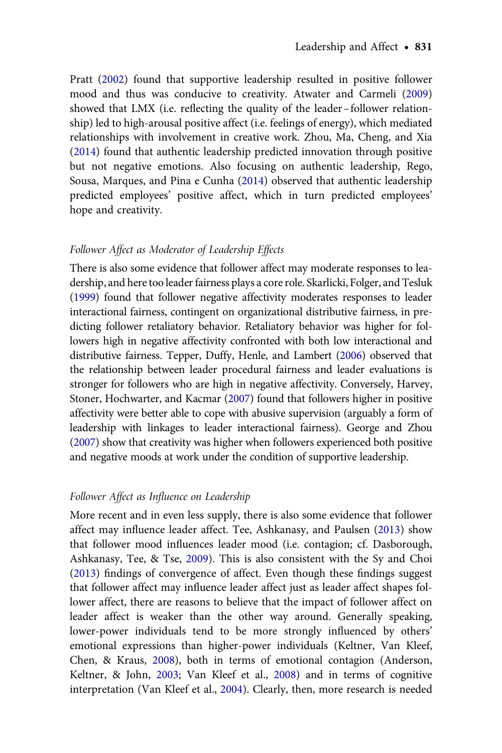<span id="page-33-0"></span>Pratt ([2002\)](#page-40-0) found that supportive leadership resulted in positive follower mood and thus was conducive to creativity. Atwater and Carmeli [\(2009\)](#page-36-0) showed that LMX (i.e. reflecting the quality of the leader –follower relationship) led to high-arousal positive affect (i.e. feelings of energy), which mediated relationships with involvement in creative work. Zhou, Ma, Cheng, and Xia [\(2014\)](#page-42-0) found that authentic leadership predicted innovation through positive but not negative emotions. Also focusing on authentic leadership, Rego, Sousa, Marques, and Pina e Cunha ([2014](#page-40-0)) observed that authentic leadership predicted employees' positive affect, which in turn predicted employees' hope and creativity.

#### Follower Affect as Moderator of Leadership Effects

There is also some evidence that follower affect may moderate responses to leadership, and here too leader fairness plays a core role. Skarlicki, Folger, and Tesluk [\(1999](#page-41-0)) found that follower negative affectivity moderates responses to leader interactional fairness, contingent on organizational distributive fairness, in predicting follower retaliatory behavior. Retaliatory behavior was higher for followers high in negative affectivity confronted with both low interactional and distributive fairness. Tepper, Duffy, Henle, and Lambert [\(2006](#page-41-0)) observed that the relationship between leader procedural fairness and leader evaluations is stronger for followers who are high in negative affectivity. Conversely, Harvey, Stoner, Hochwarter, and Kacmar [\(2007](#page-38-0)) found that followers higher in positive affectivity were better able to cope with abusive supervision (arguably a form of leadership with linkages to leader interactional fairness). George and Zhou [\(2007](#page-38-0)) show that creativity was higher when followers experienced both positive and negative moods at work under the condition of supportive leadership.

#### Follower Affect as Influence on Leadership

More recent and in even less supply, there is also some evidence that follower affect may influence leader affect. Tee, Ashkanasy, and Paulsen [\(2013](#page-41-0)) show that follower mood influences leader mood (i.e. contagion; cf. Dasborough, Ashkanasy, Tee, & Tse, [2009](#page-37-0)). This is also consistent with the Sy and Choi [\(2013\)](#page-41-0) findings of convergence of affect. Even though these findings suggest that follower affect may influence leader affect just as leader affect shapes follower affect, there are reasons to believe that the impact of follower affect on leader affect is weaker than the other way around. Generally speaking, lower-power individuals tend to be more strongly influenced by others' emotional expressions than higher-power individuals (Keltner, Van Kleef, Chen, & Kraus, [2008](#page-39-0)), both in terms of emotional contagion (Anderson, Keltner, & John, [2003;](#page-36-0) Van Kleef et al., [2008\)](#page-42-0) and in terms of cognitive interpretation (Van Kleef et al., [2004\)](#page-41-0). Clearly, then, more research is needed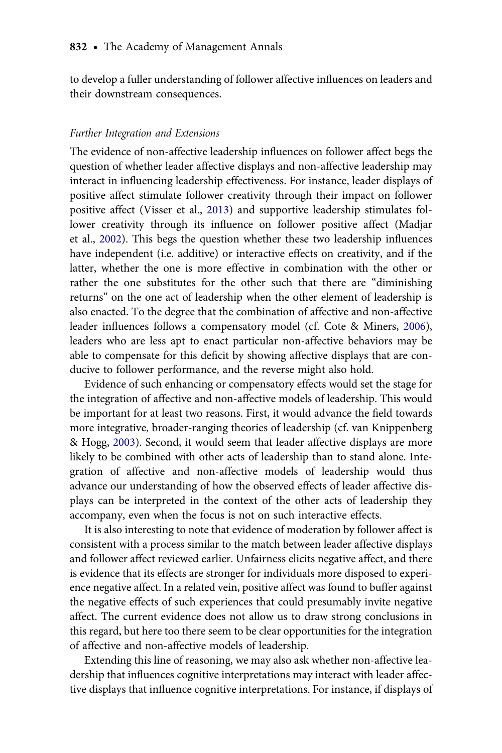<span id="page-34-0"></span>to develop a fuller understanding of follower affective influences on leaders and their downstream consequences.

#### Further Integration and Extensions

The evidence of non-affective leadership influences on follower affect begs the question of whether leader affective displays and non-affective leadership may interact in influencing leadership effectiveness. For instance, leader displays of positive affect stimulate follower creativity through their impact on follower positive affect (Visser et al., [2013](#page-42-0)) and supportive leadership stimulates follower creativity through its influence on follower positive affect (Madjar et al., [2002\)](#page-40-0). This begs the question whether these two leadership influences have independent (i.e. additive) or interactive effects on creativity, and if the latter, whether the one is more effective in combination with the other or rather the one substitutes for the other such that there are "diminishing returns" on the one act of leadership when the other element of leadership is also enacted. To the degree that the combination of affective and non-affective leader influences follows a compensatory model (cf. Cote & Miners, [2006](#page-37-0)), leaders who are less apt to enact particular non-affective behaviors may be able to compensate for this deficit by showing affective displays that are conducive to follower performance, and the reverse might also hold.

Evidence of such enhancing or compensatory effects would set the stage for the integration of affective and non-affective models of leadership. This would be important for at least two reasons. First, it would advance the field towards more integrative, broader-ranging theories of leadership (cf. van Knippenberg & Hogg, [2003](#page-39-0)). Second, it would seem that leader affective displays are more likely to be combined with other acts of leadership than to stand alone. Integration of affective and non-affective models of leadership would thus advance our understanding of how the observed effects of leader affective displays can be interpreted in the context of the other acts of leadership they accompany, even when the focus is not on such interactive effects.

It is also interesting to note that evidence of moderation by follower affect is consistent with a process similar to the match between leader affective displays and follower affect reviewed earlier. Unfairness elicits negative affect, and there is evidence that its effects are stronger for individuals more disposed to experience negative affect. In a related vein, positive affect was found to buffer against the negative effects of such experiences that could presumably invite negative affect. The current evidence does not allow us to draw strong conclusions in this regard, but here too there seem to be clear opportunities for the integration of affective and non-affective models of leadership.

Extending this line of reasoning, we may also ask whether non-affective leadership that influences cognitive interpretations may interact with leader affective displays that influence cognitive interpretations. For instance, if displays of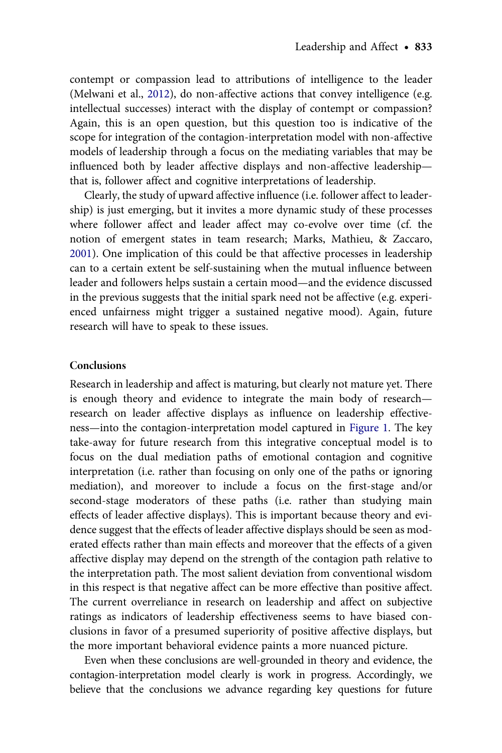<span id="page-35-0"></span>contempt or compassion lead to attributions of intelligence to the leader (Melwani et al., [2012](#page-40-0)), do non-affective actions that convey intelligence (e.g. intellectual successes) interact with the display of contempt or compassion? Again, this is an open question, but this question too is indicative of the scope for integration of the contagion-interpretation model with non-affective models of leadership through a focus on the mediating variables that may be influenced both by leader affective displays and non-affective leadership that is, follower affect and cognitive interpretations of leadership.

Clearly, the study of upward affective influence (i.e. follower affect to leadership) is just emerging, but it invites a more dynamic study of these processes where follower affect and leader affect may co-evolve over time (cf. the notion of emergent states in team research; Marks, Mathieu, & Zaccaro, [2001](#page-40-0)). One implication of this could be that affective processes in leadership can to a certain extent be self-sustaining when the mutual influence between leader and followers helps sustain a certain mood—and the evidence discussed in the previous suggests that the initial spark need not be affective (e.g. experienced unfairness might trigger a sustained negative mood). Again, future research will have to speak to these issues.

#### **Conclusions**

Research in leadership and affect is maturing, but clearly not mature yet. There is enough theory and evidence to integrate the main body of research research on leader affective displays as influence on leadership effectiveness—into the contagion-interpretation model captured in [Figure 1](#page-9-0). The key take-away for future research from this integrative conceptual model is to focus on the dual mediation paths of emotional contagion and cognitive interpretation (i.e. rather than focusing on only one of the paths or ignoring mediation), and moreover to include a focus on the first-stage and/or second-stage moderators of these paths (i.e. rather than studying main effects of leader affective displays). This is important because theory and evidence suggest that the effects of leader affective displays should be seen as moderated effects rather than main effects and moreover that the effects of a given affective display may depend on the strength of the contagion path relative to the interpretation path. The most salient deviation from conventional wisdom in this respect is that negative affect can be more effective than positive affect. The current overreliance in research on leadership and affect on subjective ratings as indicators of leadership effectiveness seems to have biased conclusions in favor of a presumed superiority of positive affective displays, but the more important behavioral evidence paints a more nuanced picture.

Even when these conclusions are well-grounded in theory and evidence, the contagion-interpretation model clearly is work in progress. Accordingly, we believe that the conclusions we advance regarding key questions for future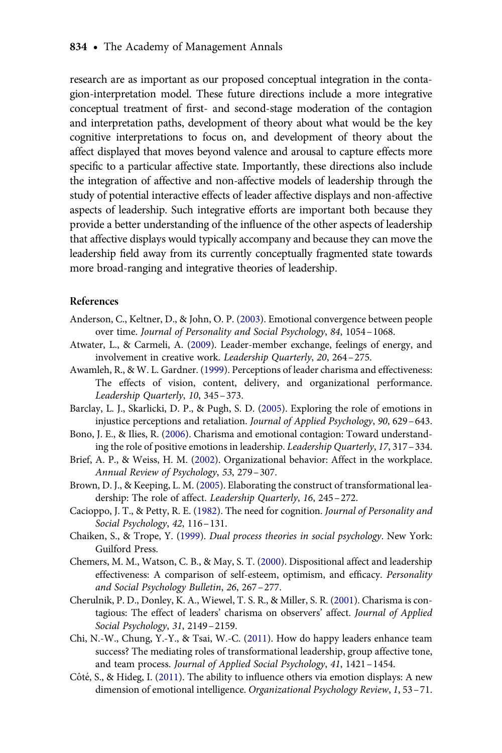<span id="page-36-0"></span>research are as important as our proposed conceptual integration in the contagion-interpretation model. These future directions include a more integrative conceptual treatment of first- and second-stage moderation of the contagion and interpretation paths, development of theory about what would be the key cognitive interpretations to focus on, and development of theory about the affect displayed that moves beyond valence and arousal to capture effects more specific to a particular affective state. Importantly, these directions also include the integration of affective and non-affective models of leadership through the study of potential interactive effects of leader affective displays and non-affective aspects of leadership. Such integrative efforts are important both because they provide a better understanding of the influence of the other aspects of leadership that affective displays would typically accompany and because they can move the leadership field away from its currently conceptually fragmented state towards more broad-ranging and integrative theories of leadership.

#### References

- Anderson, C., Keltner, D., & John, O. P. ([2003\)](#page-33-0). Emotional convergence between people over time. Journal of Personality and Social Psychology, 84, 1054–1068.
- Atwater, L., & Carmeli, A. [\(2009](#page-33-0)). Leader-member exchange, feelings of energy, and involvement in creative work. Leadership Quarterly, 20, 264–275.
- Awamleh, R., & W. L. Gardner. ([1999\)](#page-11-0). Perceptions of leader charisma and effectiveness: The effects of vision, content, delivery, and organizational performance. Leadership Quarterly, 10, 345–373.
- Barclay, L. J., Skarlicki, D. P., & Pugh, S. D. [\(2005](#page-32-0)). Exploring the role of emotions in injustice perceptions and retaliation. Journal of Applied Psychology, 90, 629–643.
- Bono, J. E., & Ilies, R. [\(2006](#page-11-0)). Charisma and emotional contagion: Toward understanding the role of positive emotions in leadership. Leadership Quarterly, 17, 317–334.
- Brief, A. P., & Weiss, H. M. ([2002\)](#page-2-0). Organizational behavior: Affect in the workplace. Annual Review of Psychology, 53, 279–307.
- Brown, D. J., & Keeping, L. M. ([2005](#page-6-0)). Elaborating the construct of transformational leadership: The role of affect. Leadership Quarterly, 16, 245–272.
- Cacioppo, J. T., & Petty, R. E. [\(1982\)](#page-26-0). The need for cognition. Journal of Personality and Social Psychology, 42, 116–131.
- Chaiken, S., & Trope, Y. ([1999](#page-25-0)). Dual process theories in social psychology. New York: Guilford Press.
- Chemers, M. M., Watson, C. B., & May, S. T. [\(2000\)](#page-6-0). Dispositional affect and leadership effectiveness: A comparison of self-esteem, optimism, and efficacy. Personality and Social Psychology Bulletin, 26, 267–277.
- Cherulnik, P. D., Donley, K. A., Wiewel, T. S. R., & Miller, S. R. [\(2001\)](#page-18-0). Charisma is contagious: The effect of leaders' charisma on observers' affect. Journal of Applied Social Psychology, 31, 2149–2159.
- Chi, N.-W., Chung, Y.-Y., & Tsai, W.-C. ([2011](#page-11-0)). How do happy leaders enhance team success? The mediating roles of transformational leadership, group affective tone, and team process. Journal of Applied Social Psychology, 41, 1421–1454.
- Côté, S., & Hideg, I. ([2011\)](#page-30-0). The ability to influence others via emotion displays: A new dimension of emotional intelligence. Organizational Psychology Review, 1, 53–71.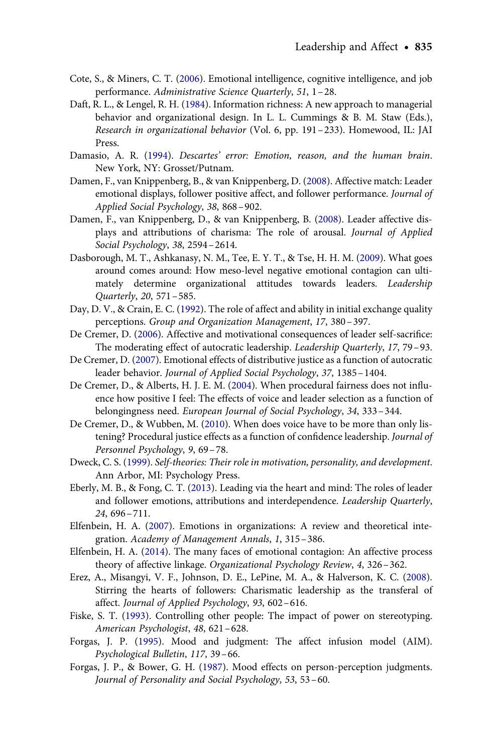- <span id="page-37-0"></span>Cote, S., & Miners, C. T. [\(2006\)](#page-34-0). Emotional intelligence, cognitive intelligence, and job performance. Administrative Science Quarterly, 51, 1–28.
- Daft, R. L., & Lengel, R. H. [\(1984](#page-26-0)). Information richness: A new approach to managerial behavior and organizational design. In L. L. Cummings & B. M. Staw (Eds.), Research in organizational behavior (Vol. 6, pp. 191–233). Homewood, IL: JAI Press.
- Damasio, A. R. [\(1994](#page-7-0)). Descartes' error: Emotion, reason, and the human brain. New York, NY: Grosset/Putnam.
- Damen, F., van Knippenberg, B., & van Knippenberg, D. ([2008](#page-16-0)). Affective match: Leader emotional displays, follower positive affect, and follower performance. Journal of Applied Social Psychology, 38, 868–902.
- Damen, F., van Knippenberg, D., & van Knippenberg, B. ([2008\)](#page-12-0). Leader affective displays and attributions of charisma: The role of arousal. Journal of Applied Social Psychology, 38, 2594–2614.
- Dasborough, M. T., Ashkanasy, N. M., Tee, E. Y. T., & Tse, H. H. M. ([2009\)](#page-33-0). What goes around comes around: How meso-level negative emotional contagion can ultimately determine organizational attitudes towards leaders. Leadership Quarterly, 20, 571–585.
- Day, D. V., & Crain, E. C. [\(1992](#page-10-0)). The role of affect and ability in initial exchange quality perceptions. Group and Organization Management, 17, 380–397.
- De Cremer, D. [\(2006\)](#page-32-0). Affective and motivational consequences of leader self-sacrifice: The moderating effect of autocratic leadership. Leadership Quarterly, 17, 79–93.
- De Cremer, D. ([2007\)](#page-32-0). Emotional effects of distributive justice as a function of autocratic leader behavior. Journal of Applied Social Psychology, 37, 1385–1404.
- De Cremer, D., & Alberts, H. J. E. M. [\(2004](#page-32-0)). When procedural fairness does not influence how positive I feel: The effects of voice and leader selection as a function of belongingness need. European Journal of Social Psychology, 34, 333–344.
- De Cremer, D., & Wubben, M. [\(2010](#page-32-0)). When does voice have to be more than only listening? Procedural justice effects as a function of confidence leadership. Journal of Personnel Psychology, 9, 69–78.
- Dweck, C. S. [\(1999](#page-26-0)). Self-theories: Their role in motivation, personality, and development. Ann Arbor, MI: Psychology Press.
- Eberly, M. B., & Fong, C. T. [\(2013\)](#page-19-0). Leading via the heart and mind: The roles of leader and follower emotions, attributions and interdependence. Leadership Quarterly, 24, 696–711.
- Elfenbein, H. A. ([2007](#page-5-0)). Emotions in organizations: A review and theoretical integration. Academy of Management Annals, 1, 315–386.
- Elfenbein, H. A. ([2014\)](#page-8-0). The many faces of emotional contagion: An affective process theory of affective linkage. Organizational Psychology Review, 4, 326–362.
- Erez, A., Misangyi, V. F., Johnson, D. E., LePine, M. A., & Halverson, K. C. ([2008\)](#page-11-0). Stirring the hearts of followers: Charismatic leadership as the transferal of affect. Journal of Applied Psychology, 93, 602–616.
- Fiske, S. T. ([1993](#page-27-0)). Controlling other people: The impact of power on stereotyping. American Psychologist, 48, 621–628.
- Forgas, J. P. ([1995](#page-5-0)). Mood and judgment: The affect infusion model (AIM). Psychological Bulletin, 117, 39–66.
- Forgas, J. P., & Bower, G. H. [\(1987](#page-7-0)). Mood effects on person-perception judgments. Journal of Personality and Social Psychology, 53, 53–60.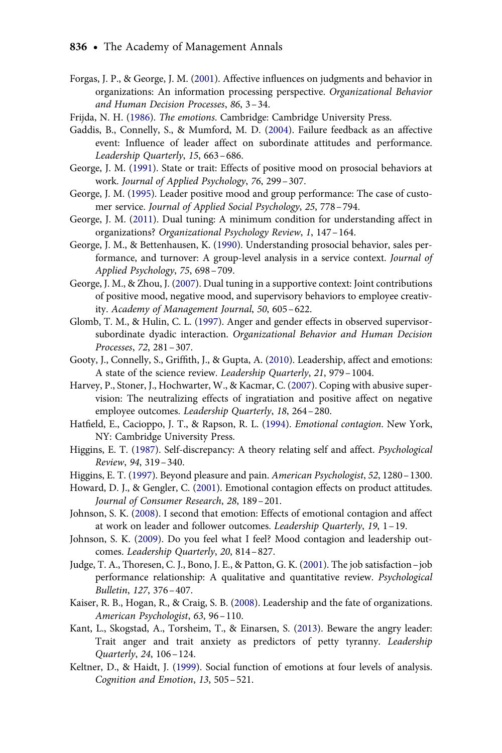- <span id="page-38-0"></span>Forgas, J. P., & George, J. M. [\(2001](#page-14-0)). Affective influences on judgments and behavior in organizations: An information processing perspective. Organizational Behavior and Human Decision Processes, 86, 3–34.
- Frijda, N. H. ([1986\)](#page-5-0). The emotions. Cambridge: Cambridge University Press.
- Gaddis, B., Connelly, S., & Mumford, M. D. ([2004](#page-17-0)). Failure feedback as an affective event: Influence of leader affect on subordinate attitudes and performance. Leadership Quarterly, 15, 663–686.
- George, J. M. [\(1991](#page-6-0)). State or trait: Effects of positive mood on prosocial behaviors at work. Journal of Applied Psychology, 76, 299–307.
- George, J. M. ([1995\)](#page-10-0). Leader positive mood and group performance: The case of customer service. Journal of Applied Social Psychology, 25, 778–794.
- George, J. M. [\(2011\)](#page-20-0). Dual tuning: A minimum condition for understanding affect in organizations? Organizational Psychology Review, 1, 147–164.
- George, J. M., & Bettenhausen, K. ([1990\)](#page-10-0). Understanding prosocial behavior, sales performance, and turnover: A group-level analysis in a service context. Journal of Applied Psychology, 75, 698–709.
- George, J. M., & Zhou, J. ([2007](#page-33-0)). Dual tuning in a supportive context: Joint contributions of positive mood, negative mood, and supervisory behaviors to employee creativity. Academy of Management Journal, 50, 605–622.
- Glomb, T. M., & Hulin, C. L. [\(1997\)](#page-11-0). Anger and gender effects in observed supervisorsubordinate dyadic interaction. Organizational Behavior and Human Decision Processes, 72, 281–307.
- Gooty, J., Connelly, S., Griffith, J., & Gupta, A. [\(2010\)](#page-2-0). Leadership, affect and emotions: A state of the science review. Leadership Quarterly, 21, 979–1004.
- Harvey, P., Stoner, J., Hochwarter, W., & Kacmar, C. ([2007\)](#page-33-0). Coping with abusive supervision: The neutralizing effects of ingratiation and positive affect on negative employee outcomes. Leadership Quarterly, 18, 264–280.
- Hatfield, E., Cacioppo, J. T., & Rapson, R. L. ([1994\)](#page-8-0). Emotional contagion. New York, NY: Cambridge University Press.
- Higgins, E. T. [\(1987](#page-16-0)). Self-discrepancy: A theory relating self and affect. Psychological Review, 94, 319–340.
- Higgins, E. T. [\(1997\)](#page-16-0). Beyond pleasure and pain. American Psychologist, 52, 1280–1300.
- Howard, D. J., & Gengler, C. [\(2001](#page-26-0)). Emotional contagion effects on product attitudes. Journal of Consumer Research, 28, 189–201.
- Johnson, S. K. [\(2008](#page-18-0)). I second that emotion: Effects of emotional contagion and affect at work on leader and follower outcomes. Leadership Quarterly, 19, 1–19.
- Johnson, S. K. ([2009\)](#page-11-0). Do you feel what I feel? Mood contagion and leadership outcomes. Leadership Quarterly, 20, 814–827.
- Judge, T. A., Thoresen, C. J., Bono, J. E., & Patton, G. K. ([2001](#page-5-0)). The job satisfaction –job performance relationship: A qualitative and quantitative review. Psychological Bulletin, 127, 376–407.
- Kaiser, R. B., Hogan, R., & Craig, S. B. ([2008\)](#page-5-0). Leadership and the fate of organizations. American Psychologist, 63, 96–110.
- Kant, L., Skogstad, A., Torsheim, T., & Einarsen, S. ([2013](#page-17-0)). Beware the angry leader: Trait anger and trait anxiety as predictors of petty tyranny. Leadership Quarterly, 24, 106–124.
- Keltner, D., & Haidt, J. ([1999\)](#page-2-0). Social function of emotions at four levels of analysis. Cognition and Emotion, 13, 505–521.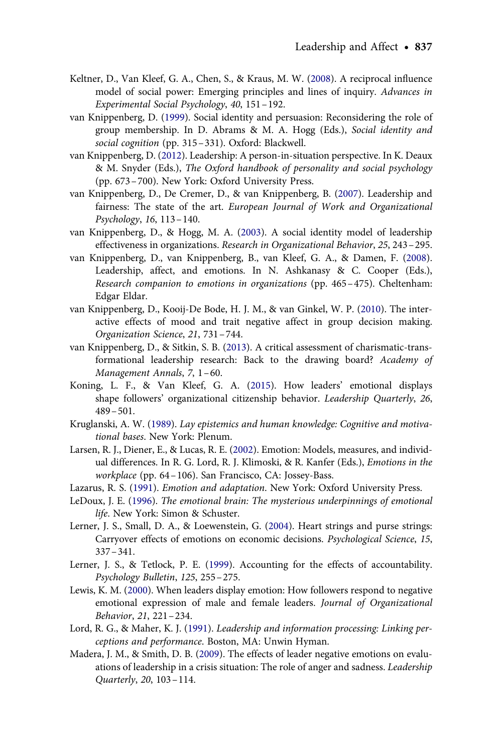- <span id="page-39-0"></span>Keltner, D., Van Kleef, G. A., Chen, S., & Kraus, M. W. [\(2008\)](#page-33-0). A reciprocal influence model of social power: Emerging principles and lines of inquiry. Advances in Experimental Social Psychology, 40, 151–192.
- van Knippenberg, D. ([1999\)](#page-27-0). Social identity and persuasion: Reconsidering the role of group membership. In D. Abrams & M. A. Hogg (Eds.), Social identity and social cognition (pp. 315–331). Oxford: Blackwell.
- van Knippenberg, D. ([2012](#page-4-0)). Leadership: A person-in-situation perspective. In K. Deaux & M. Snyder (Eds.), The Oxford handbook of personality and social psychology (pp. 673–700). New York: Oxford University Press.
- van Knippenberg, D., De Cremer, D., & van Knippenberg, B. ([2007](#page-32-0)). Leadership and fairness: The state of the art. European Journal of Work and Organizational Psychology, 16, 113–140.
- van Knippenberg, D., & Hogg, M. A. [\(2003\)](#page-34-0). A social identity model of leadership effectiveness in organizations. Research in Organizational Behavior, 25, 243–295.
- van Knippenberg, D., van Knippenberg, B., van Kleef, G. A., & Damen, F. ([2008\)](#page-2-0). Leadership, affect, and emotions. In N. Ashkanasy & C. Cooper (Eds.), Research companion to emotions in organizations (pp. 465–475). Cheltenham: Edgar Eldar.
- van Knippenberg, D., Kooij-De Bode, H. J. M., & van Ginkel, W. P. [\(2010\)](#page-6-0). The interactive effects of mood and trait negative affect in group decision making. Organization Science, 21, 731–744.
- van Knippenberg, D., & Sitkin, S. B. ([2013\)](#page-7-0). A critical assessment of charismatic-transformational leadership research: Back to the drawing board? Academy of Management Annals, 7, 1–60.
- Koning, L. F., & Van Kleef, G. A. ([2015\)](#page-17-0). How leaders' emotional displays shape followers' organizational citizenship behavior. Leadership Quarterly, 26, 489–501.
- Kruglanski, A. W. ([1989](#page-19-0)). Lay epistemics and human knowledge: Cognitive and motivational bases. New York: Plenum.
- Larsen, R. J., Diener, E., & Lucas, R. E. ([2002\)](#page-5-0). Emotion: Models, measures, and individual differences. In R. G. Lord, R. J. Klimoski, & R. Kanfer (Eds.), Emotions in the workplace (pp. 64–106). San Francisco, CA: Jossey-Bass.
- Lazarus, R. S. [\(1991\)](#page-5-0). Emotion and adaptation. New York: Oxford University Press.
- LeDoux, J. E. [\(1996\)](#page-7-0). The emotional brain: The mysterious underpinnings of emotional life. New York: Simon & Schuster.
- Lerner, J. S., Small, D. A., & Loewenstein, G. [\(2004](#page-29-0)). Heart strings and purse strings: Carryover effects of emotions on economic decisions. Psychological Science, 15, 337–341.
- Lerner, J. S., & Tetlock, P. E. ([1999\)](#page-26-0). Accounting for the effects of accountability. Psychology Bulletin, 125, 255–275.
- Lewis, K. M. ([2000](#page-17-0)). When leaders display emotion: How followers respond to negative emotional expression of male and female leaders. Journal of Organizational Behavior, 21, 221–234.
- Lord, R. G., & Maher, K. J. ([1991\)](#page-5-0). Leadership and information processing: Linking perceptions and performance. Boston, MA: Unwin Hyman.
- Madera, J. M., & Smith, D. B. [\(2009\)](#page-18-0). The effects of leader negative emotions on evaluations of leadership in a crisis situation: The role of anger and sadness. Leadership Quarterly, 20, 103–114.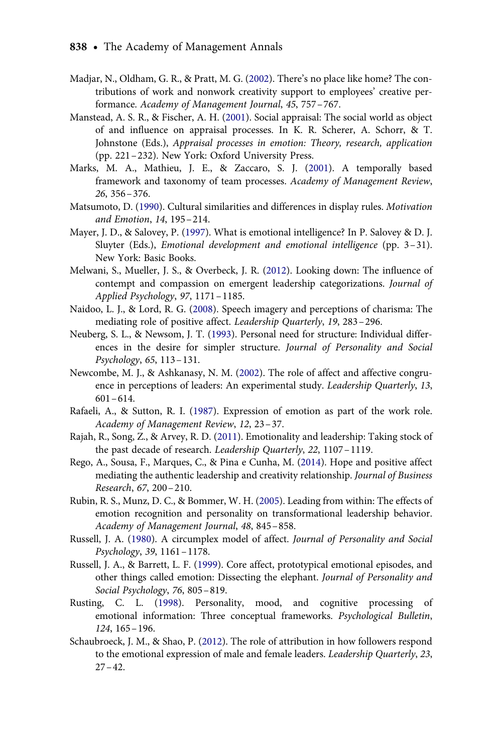- <span id="page-40-0"></span>Madjar, N., Oldham, G. R., & Pratt, M. G. [\(2002](#page-33-0)). There's no place like home? The contributions of work and nonwork creativity support to employees' creative performance. Academy of Management Journal, 45, 757–767.
- Manstead, A. S. R., & Fischer, A. H. [\(2001](#page-25-0)). Social appraisal: The social world as object of and influence on appraisal processes. In K. R. Scherer, A. Schorr, & T. Johnstone (Eds.), Appraisal processes in emotion: Theory, research, application (pp. 221–232). New York: Oxford University Press.
- Marks, M. A., Mathieu, J. E., & Zaccaro, S. J. [\(2001\)](#page-35-0). A temporally based framework and taxonomy of team processes. Academy of Management Review, 26, 356–376.
- Matsumoto, D. ([1990\)](#page-29-0). Cultural similarities and differences in display rules. Motivation and Emotion, 14, 195–214.
- Mayer, J. D., & Salovey, P. [\(1997\)](#page-26-0). What is emotional intelligence? In P. Salovey & D. J. Sluyter (Eds.), Emotional development and emotional intelligence (pp. 3–31). New York: Basic Books.
- Melwani, S., Mueller, J. S., & Overbeck, J. R. [\(2012](#page-12-0)). Looking down: The influence of contempt and compassion on emergent leadership categorizations. Journal of Applied Psychology, 97, 1171–1185.
- Naidoo, L. J., & Lord, R. G. ([2008](#page-32-0)). Speech imagery and perceptions of charisma: The mediating role of positive affect. Leadership Quarterly, 19, 283–296.
- Neuberg, S. L., & Newsom, J. T. ([1993](#page-19-0)). Personal need for structure: Individual differences in the desire for simpler structure. Journal of Personality and Social Psychology, 65, 113–131.
- Newcombe, M. J., & Ashkanasy, N. M. ([2002](#page-16-0)). The role of affect and affective congruence in perceptions of leaders: An experimental study. Leadership Quarterly, 13, 601–614.
- Rafaeli, A., & Sutton, R. I. [\(1987](#page-29-0)). Expression of emotion as part of the work role. Academy of Management Review, 12, 23–37.
- Rajah, R., Song, Z., & Arvey, R. D. ([2011](#page-2-0)). Emotionality and leadership: Taking stock of the past decade of research. Leadership Quarterly, 22, 1107–1119.
- Rego, A., Sousa, F., Marques, C., & Pina e Cunha, M. ([2014](#page-33-0)). Hope and positive affect mediating the authentic leadership and creativity relationship. Journal of Business Research, 67, 200–210.
- Rubin, R. S., Munz, D. C., & Bommer, W. H. [\(2005](#page-11-0)). Leading from within: The effects of emotion recognition and personality on transformational leadership behavior. Academy of Management Journal, 48, 845–858.
- Russell, J. A. ([1980](#page-5-0)). A circumplex model of affect. Journal of Personality and Social Psychology, 39, 1161–1178.
- Russell, J. A., & Barrett, L. F. ([1999](#page-5-0)). Core affect, prototypical emotional episodes, and other things called emotion: Dissecting the elephant. Journal of Personality and Social Psychology, 76, 805–819.
- Rusting, C. L. [\(1998](#page-28-0)). Personality, mood, and cognitive processing of emotional information: Three conceptual frameworks. Psychological Bulletin, 124, 165–196.
- Schaubroeck, J. M., & Shao, P. ([2012](#page-18-0)). The role of attribution in how followers respond to the emotional expression of male and female leaders. Leadership Quarterly, 23,  $27 - 42.$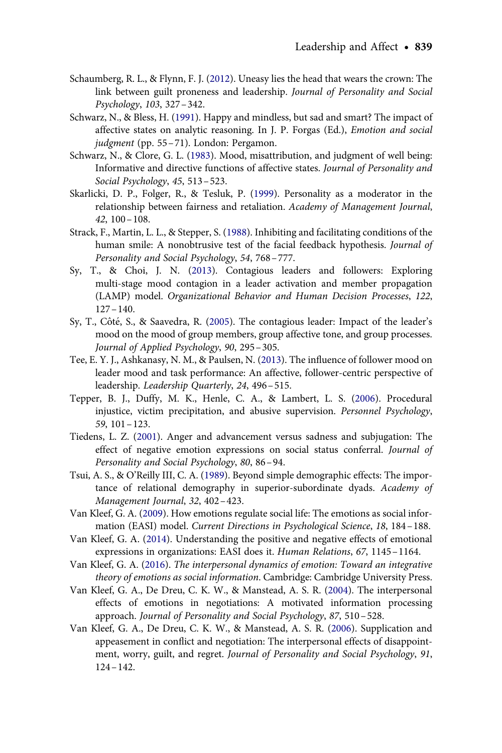- <span id="page-41-0"></span>Schaumberg, R. L., & Flynn, F. J. ([2012\)](#page-12-0). Uneasy lies the head that wears the crown: The link between guilt proneness and leadership. Journal of Personality and Social Psychology, 103, 327–342.
- Schwarz, N., & Bless, H. ([1991\)](#page-13-0). Happy and mindless, but sad and smart? The impact of affective states on analytic reasoning. In J. P. Forgas (Ed.), Emotion and social judgment (pp. 55–71). London: Pergamon.
- Schwarz, N., & Clore, G. L. ([1983](#page-7-0)). Mood, misattribution, and judgment of well being: Informative and directive functions of affective states. Journal of Personality and Social Psychology, 45, 513–523.
- Skarlicki, D. P., Folger, R., & Tesluk, P. [\(1999\)](#page-33-0). Personality as a moderator in the relationship between fairness and retaliation. Academy of Management Journal, 42, 100–108.
- Strack, F., Martin, L. L., & Stepper, S. ([1988](#page-8-0)). Inhibiting and facilitating conditions of the human smile: A nonobtrusive test of the facial feedback hypothesis. Journal of Personality and Social Psychology, 54, 768–777.
- Sy, T., & Choi, J. N. [\(2013](#page-17-0)). Contagious leaders and followers: Exploring multi-stage mood contagion in a leader activation and member propagation (LAMP) model. Organizational Behavior and Human Decision Processes, 122, 127–140.
- Sy, T., Côté, S., & Saavedra, R. [\(2005](#page-12-0)). The contagious leader: Impact of the leader's mood on the mood of group members, group affective tone, and group processes. Journal of Applied Psychology, 90, 295–305.
- Tee, E. Y. J., Ashkanasy, N. M., & Paulsen, N. ([2013\)](#page-33-0). The influence of follower mood on leader mood and task performance: An affective, follower-centric perspective of leadership. Leadership Quarterly, 24, 496–515.
- Tepper, B. J., Duffy, M. K., Henle, C. A., & Lambert, L. S. ([2006\)](#page-33-0). Procedural injustice, victim precipitation, and abusive supervision. Personnel Psychology, 59, 101–123.
- Tiedens, L. Z. ([2001\)](#page-8-0). Anger and advancement versus sadness and subjugation: The effect of negative emotion expressions on social status conferral. Journal of Personality and Social Psychology, 80, 86–94.
- Tsui, A. S., & O'Reilly III, C. A. ([1989\)](#page-27-0). Beyond simple demographic effects: The importance of relational demography in superior-subordinate dyads. Academy of Management Journal, 32, 402–423.
- Van Kleef, G. A. ([2009](#page-2-0)). How emotions regulate social life: The emotions as social information (EASI) model. Current Directions in Psychological Science, 18, 184–188.
- Van Kleef, G. A. ([2014](#page-20-0)). Understanding the positive and negative effects of emotional expressions in organizations: EASI does it. Human Relations, 67, 1145–1164.
- Van Kleef, G. A. ([2016\)](#page-2-0). The interpersonal dynamics of emotion: Toward an integrative theory of emotions as social information. Cambridge: Cambridge University Press.
- Van Kleef, G. A., De Dreu, C. K. W., & Manstead, A. S. R. [\(2004\)](#page-8-0). The interpersonal effects of emotions in negotiations: A motivated information processing approach. Journal of Personality and Social Psychology, 87, 510–528.
- Van Kleef, G. A., De Dreu, C. K. W., & Manstead, A. S. R. ([2006](#page-30-0)). Supplication and appeasement in conflict and negotiation: The interpersonal effects of disappointment, worry, guilt, and regret. Journal of Personality and Social Psychology, 91, 124–142.